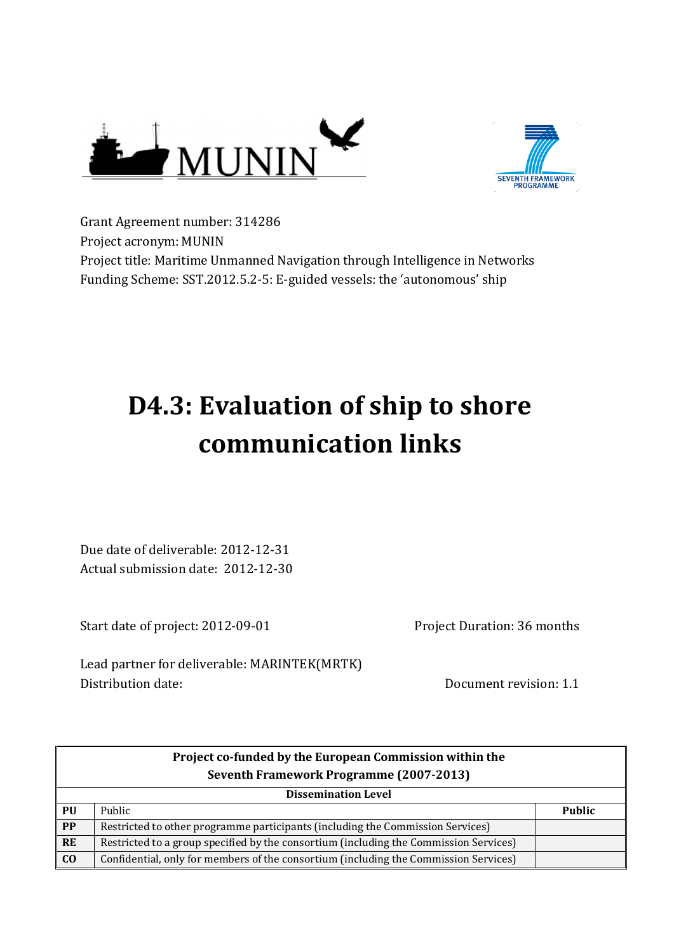



Grant Agreement number: 314286 Project acronym: MUNIN Project title: Maritime Unmanned Navigation through Intelligence in Networks Funding Scheme: SST.2012.5.2-5: E-guided vessels: the 'autonomous' ship

# **D4.3: Evaluation of ship to shore communication links**

Due date of deliverable: 2012-12-31 Actual submission date: 2012-12-30

Start date of project: 2012-09-01

Project Duration: 36 months

Lead partner for deliverable: MARINTEK(MRTK) Distribution date: Distribution date: Document revision: 1.1

|           | Project co-funded by the European Commission within the<br>Seventh Framework Programme (2007-2013) |               |  |  |  |
|-----------|----------------------------------------------------------------------------------------------------|---------------|--|--|--|
|           | <b>Dissemination Level</b>                                                                         |               |  |  |  |
| PU        | Public                                                                                             | <b>Public</b> |  |  |  |
| <b>PP</b> | Restricted to other programme participants (including the Commission Services)                     |               |  |  |  |
| <b>RE</b> | Restricted to a group specified by the consortium (including the Commission Services)              |               |  |  |  |
| $\bf{C0}$ | Confidential, only for members of the consortium (including the Commission Services)               |               |  |  |  |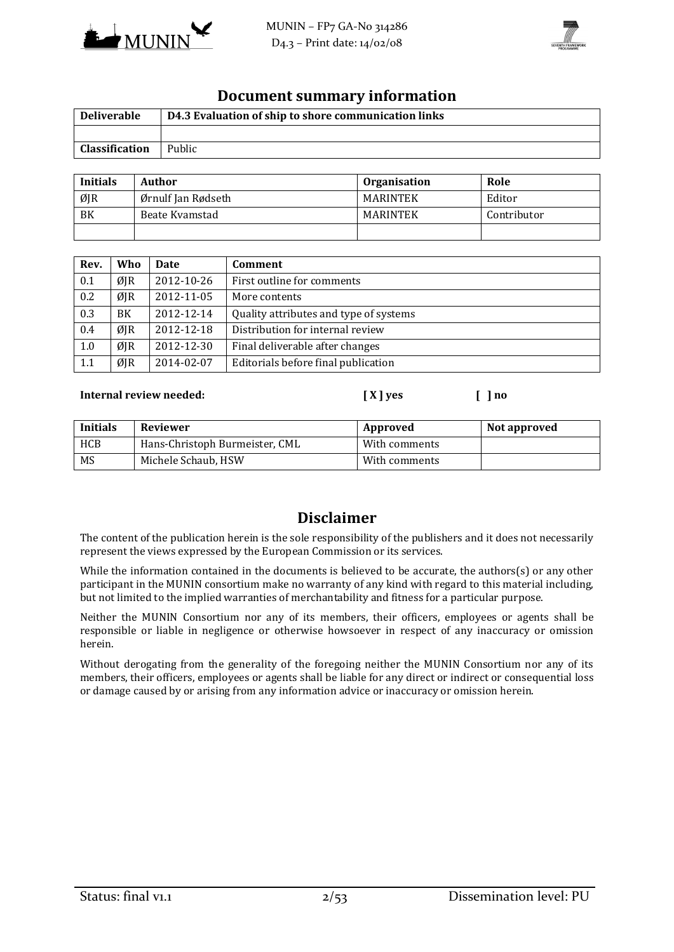



#### **Document summary information**

| <b>Deliverable</b> | D4.3 Evaluation of ship to shore communication links |
|--------------------|------------------------------------------------------|
|                    |                                                      |
| Classification     | Public                                               |

| <b>Initials</b> | Author             | <b>Organisation</b> | Role        |
|-----------------|--------------------|---------------------|-------------|
| ØJR             | Ørnulf Jan Rødseth | <b>MARINTEK</b>     | Editor      |
| BK              | Beate Kvamstad     | <b>MARINTEK</b>     | Contributor |
|                 |                    |                     |             |

| Rev. | Who | <b>Date</b> | <b>Comment</b>                         |
|------|-----|-------------|----------------------------------------|
| 0.1  | ØJR | 2012-10-26  | First outline for comments             |
| 0.2  | ØJR | 2012-11-05  | More contents                          |
| 0.3  | BK  | 2012-12-14  | Quality attributes and type of systems |
| 0.4  | ØJR | 2012-12-18  | Distribution for internal review       |
| 1.0  | ØJR | 2012-12-30  | Final deliverable after changes        |
| 1.1  | ØJR | 2014-02-07  | Editorials before final publication    |

#### **Internal review needed: [ X ] yes [ ] no**

**Initials** Reviewer **Approved Reviewer Approved Not approved** HCB | Hans-Christoph Burmeister, CML | With comments MS Michele Schaub, HSW With comments

#### **Disclaimer**

The content of the publication herein is the sole responsibility of the publishers and it does not necessarily represent the views expressed by the European Commission or its services.

While the information contained in the documents is believed to be accurate, the authors(s) or any other participant in the MUNIN consortium make no warranty of any kind with regard to this material including, but not limited to the implied warranties of merchantability and fitness for a particular purpose.

Neither the MUNIN Consortium nor any of its members, their officers, employees or agents shall be responsible or liable in negligence or otherwise howsoever in respect of any inaccuracy or omission herein.

Without derogating from the generality of the foregoing neither the MUNIN Consortium nor any of its members, their officers, employees or agents shall be liable for any direct or indirect or consequential loss or damage caused by or arising from any information advice or inaccuracy or omission herein.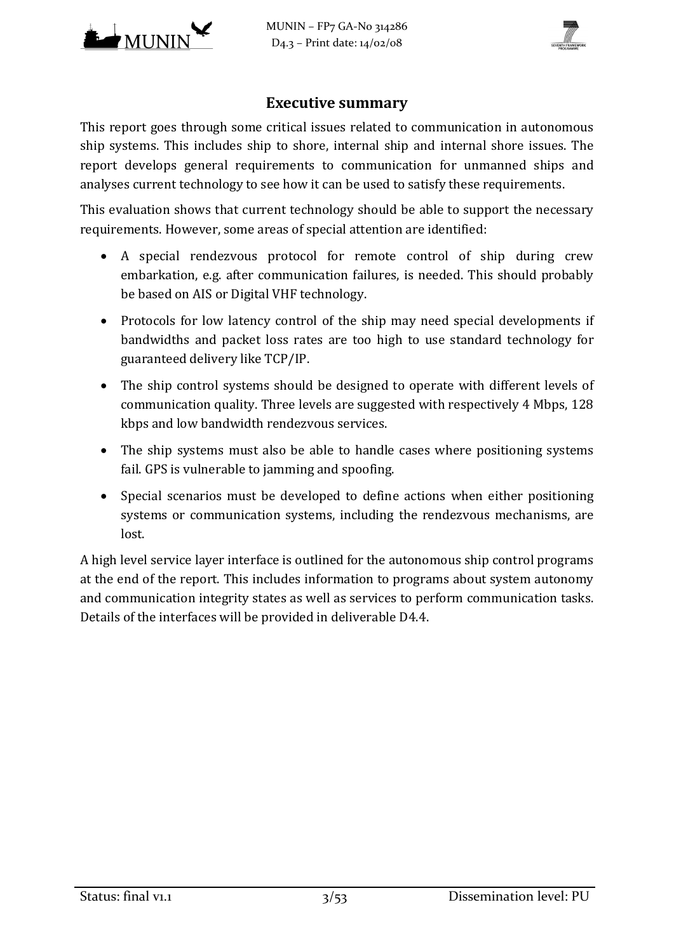

MUNIN – FP7 GA-No 314286 D4.3 – Print date: 14/02/08



## **Executive summary**

This report goes through some critical issues related to communication in autonomous ship systems. This includes ship to shore, internal ship and internal shore issues. The report develops general requirements to communication for unmanned ships and analyses current technology to see how it can be used to satisfy these requirements.

This evaluation shows that current technology should be able to support the necessary requirements. However, some areas of special attention are identified:

- A special rendezvous protocol for remote control of ship during crew embarkation, e.g. after communication failures, is needed. This should probably be based on AIS or Digital VHF technology.
- Protocols for low latency control of the ship may need special developments if bandwidths and packet loss rates are too high to use standard technology for guaranteed delivery like TCP/IP.
- The ship control systems should be designed to operate with different levels of communication quality. Three levels are suggested with respectively 4 Mbps, 128 kbps and low bandwidth rendezvous services.
- The ship systems must also be able to handle cases where positioning systems fail. GPS is vulnerable to jamming and spoofing.
- Special scenarios must be developed to define actions when either positioning systems or communication systems, including the rendezvous mechanisms, are lost.

A high level service layer interface is outlined for the autonomous ship control programs at the end of the report. This includes information to programs about system autonomy and communication integrity states as well as services to perform communication tasks. Details of the interfaces will be provided in deliverable D4.4.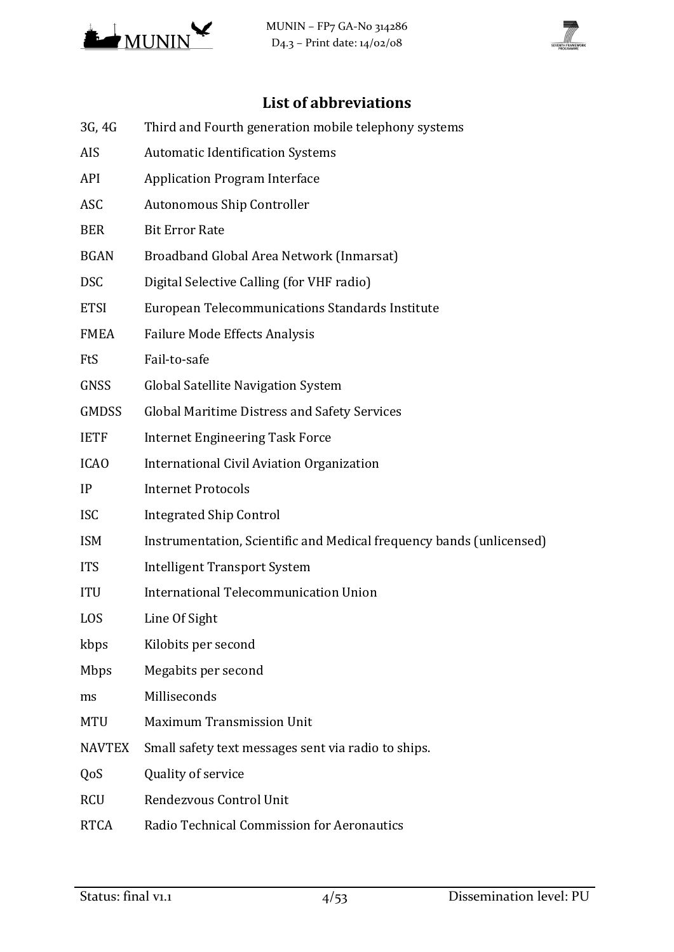



# **List of abbreviations**

- 3G, 4G Third and Fourth generation mobile telephony systems
- AIS Automatic Identification Systems
- API Application Program Interface
- ASC Autonomous Ship Controller
- BER Bit Error Rate
- BGAN Broadband Global Area Network (Inmarsat)
- DSC Digital Selective Calling (for VHF radio)
- ETSI European Telecommunications Standards Institute
- FMEA Failure Mode Effects Analysis
- FtS Fail-to-safe
- GNSS Global Satellite Navigation System
- GMDSS Global Maritime Distress and Safety Services
- IETF Internet Engineering Task Force
- ICAO International Civil Aviation Organization
- IP Internet Protocols
- ISC Integrated Ship Control
- ISM Instrumentation, Scientific and Medical frequency bands (unlicensed)
- ITS Intelligent Transport System
- ITU International Telecommunication Union
- LOS Line Of Sight
- kbps Kilobits per second
- Mbps Megabits per second
- ms Milliseconds
- MTU Maximum Transmission Unit
- NAVTEX Small safety text messages sent via radio to ships.
- QoS Quality of service
- RCU Rendezvous Control Unit
- RTCA Radio Technical Commission for Aeronautics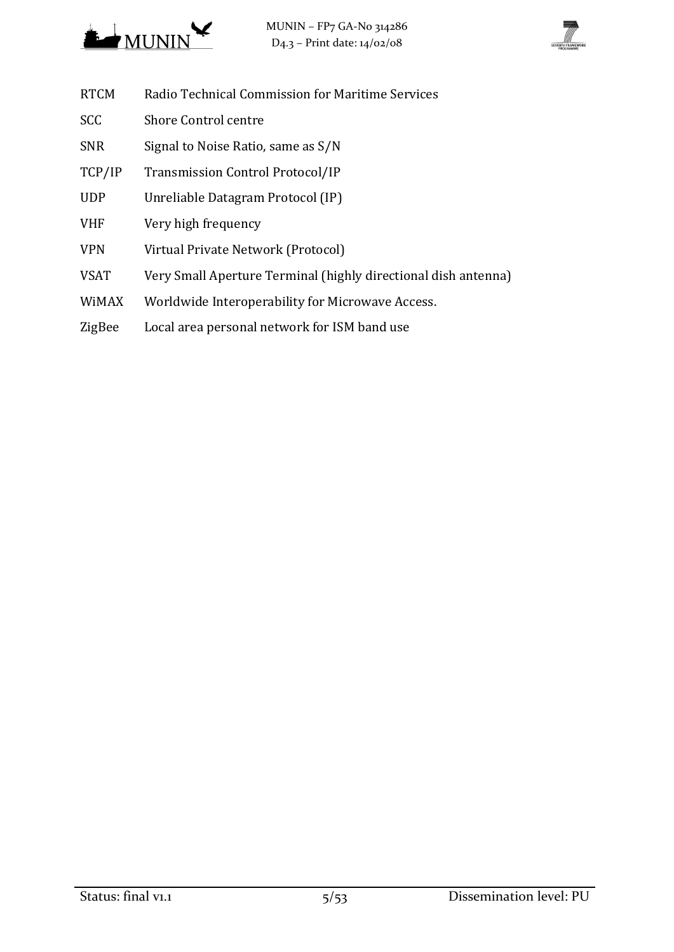



- RTCM Radio Technical Commission for Maritime Services
- SCC Shore Control centre
- SNR Signal to Noise Ratio, same as S/N
- TCP/IP Transmission Control Protocol/IP
- UDP Unreliable Datagram Protocol (IP)
- VHF Very high frequency
- VPN Virtual Private Network (Protocol)
- VSAT Very Small Aperture Terminal (highly directional dish antenna)
- WiMAX Worldwide Interoperability for Microwave Access.
- ZigBee Local area personal network for ISM band use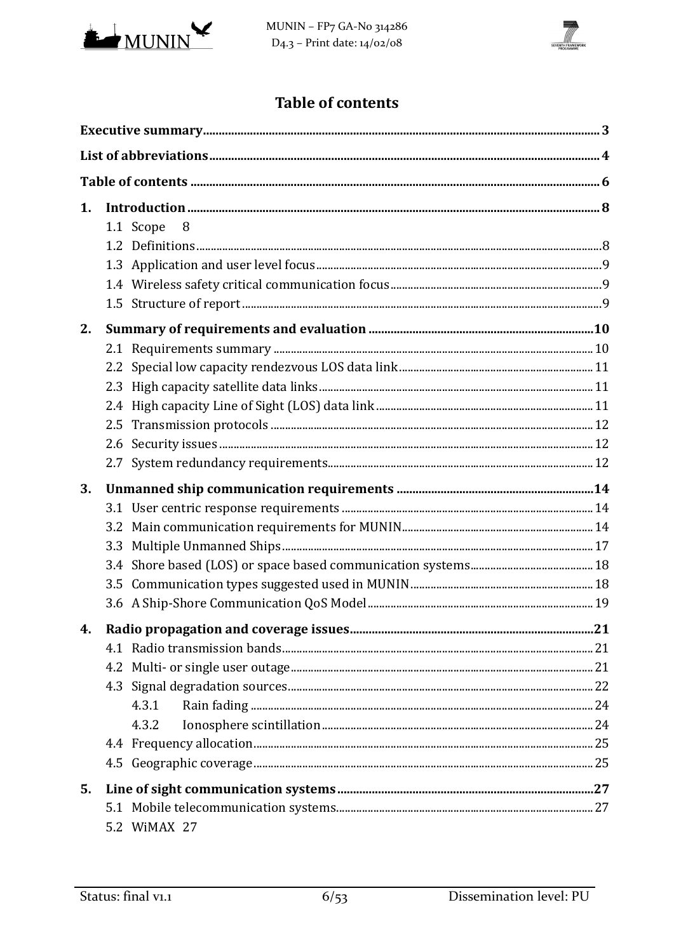



# **Table of contents**

| 1. |                 |  |
|----|-----------------|--|
|    | 1.1 Scope<br>-8 |  |
|    |                 |  |
|    |                 |  |
|    |                 |  |
|    |                 |  |
| 2. |                 |  |
|    |                 |  |
|    |                 |  |
|    |                 |  |
|    |                 |  |
|    |                 |  |
|    |                 |  |
|    |                 |  |
| 3. |                 |  |
|    |                 |  |
|    |                 |  |
|    | 3.3             |  |
|    |                 |  |
|    |                 |  |
|    |                 |  |
|    |                 |  |
|    |                 |  |
|    |                 |  |
|    |                 |  |
|    |                 |  |
|    | 4.3.1           |  |
|    | 4.3.2           |  |
|    |                 |  |
|    |                 |  |
| 5. |                 |  |
|    | 5.2 WIMAX 27    |  |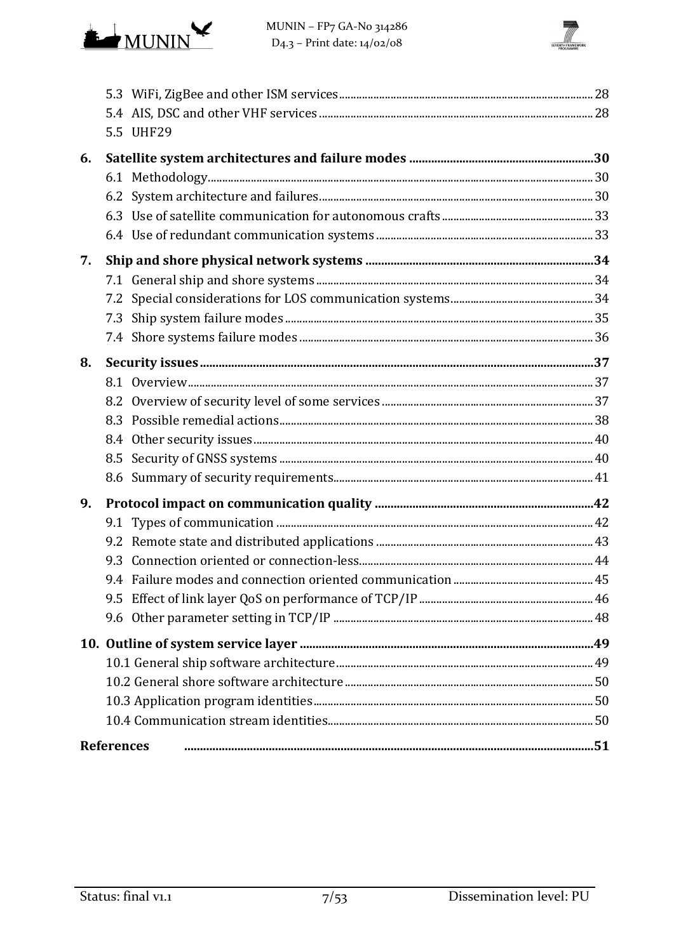

MUNIN - FP7 GA-No 314286 D<sub>4</sub>.3 - Print date:  $14/02/08$ 



|    | 5.5 UHF29         |  |
|----|-------------------|--|
| 6. |                   |  |
|    |                   |  |
|    |                   |  |
|    |                   |  |
|    |                   |  |
| 7. |                   |  |
|    |                   |  |
|    |                   |  |
|    |                   |  |
|    |                   |  |
| 8. |                   |  |
|    |                   |  |
|    |                   |  |
|    |                   |  |
|    |                   |  |
|    |                   |  |
|    |                   |  |
| 9. |                   |  |
|    |                   |  |
|    |                   |  |
|    |                   |  |
|    |                   |  |
|    |                   |  |
|    |                   |  |
|    |                   |  |
|    |                   |  |
|    |                   |  |
|    |                   |  |
|    |                   |  |
|    | <b>References</b> |  |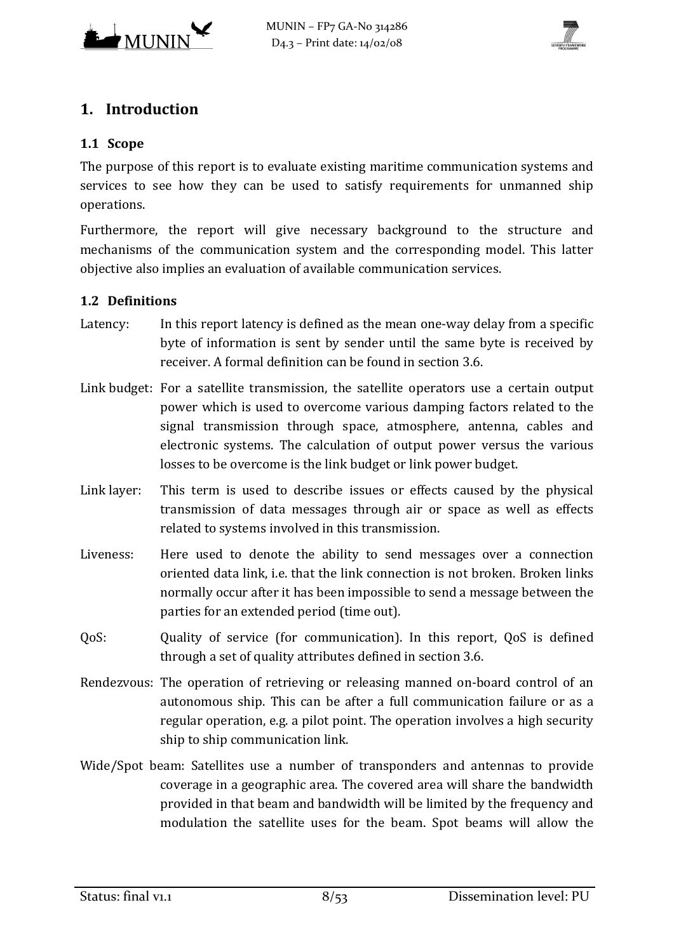



# **1. Introduction**

#### **1.1 Scope**

The purpose of this report is to evaluate existing maritime communication systems and services to see how they can be used to satisfy requirements for unmanned ship operations.

Furthermore, the report will give necessary background to the structure and mechanisms of the communication system and the corresponding model. This latter objective also implies an evaluation of available communication services.

## **1.2 Definitions**

- Latency: In this report latency is defined as the mean one-way delay from a specific byte of information is sent by sender until the same byte is received by receiver. A formal definition can be found in sectio[n 3.6.](#page-18-0)
- Link budget: For a satellite transmission, the satellite operators use a certain output power which is used to overcome various damping factors related to the signal transmission through space, atmosphere, antenna, cables and electronic systems. The calculation of output power versus the various losses to be overcome is the link budget or link power budget.
- Link layer: This term is used to describe issues or effects caused by the physical transmission of data messages through air or space as well as effects related to systems involved in this transmission.
- Liveness: Here used to denote the ability to send messages over a connection oriented data link, i.e. that the link connection is not broken. Broken links normally occur after it has been impossible to send a message between the parties for an extended period (time out).
- QoS: Quality of service (for communication). In this report, QoS is defined through a set of quality attributes defined in section [3.6.](#page-18-0)
- Rendezvous: The operation of retrieving or releasing manned on-board control of an autonomous ship. This can be after a full communication failure or as a regular operation, e.g. a pilot point. The operation involves a high security ship to ship communication link.
- Wide/Spot beam: Satellites use a number of transponders and antennas to provide coverage in a geographic area. The covered area will share the bandwidth provided in that beam and bandwidth will be limited by the frequency and modulation the satellite uses for the beam. Spot beams will allow the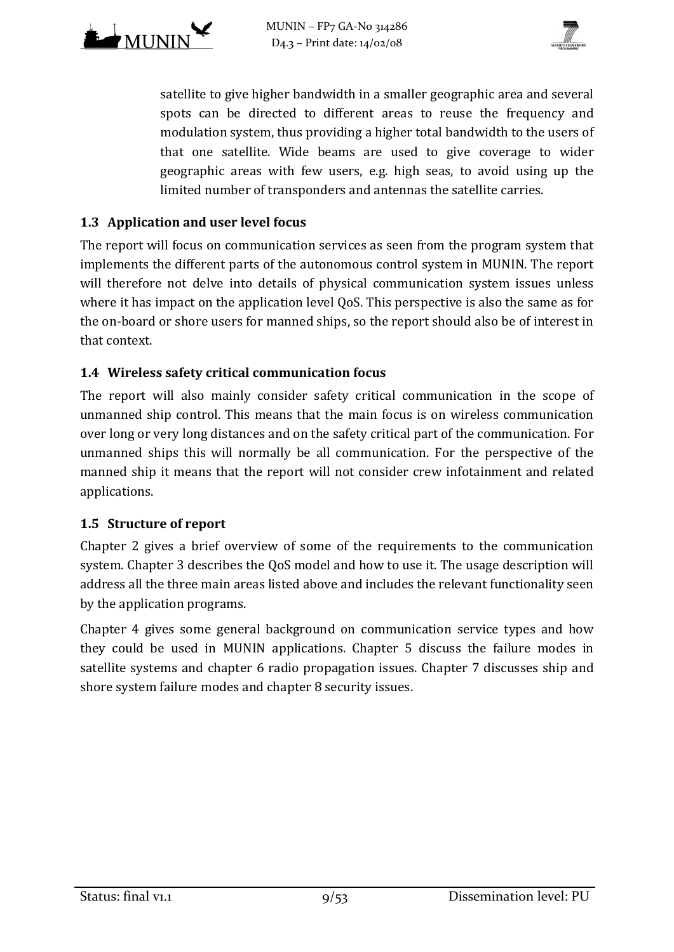



satellite to give higher bandwidth in a smaller geographic area and several spots can be directed to different areas to reuse the frequency and modulation system, thus providing a higher total bandwidth to the users of that one satellite. Wide beams are used to give coverage to wider geographic areas with few users, e.g. high seas, to avoid using up the limited number of transponders and antennas the satellite carries.

#### **1.3 Application and user level focus**

The report will focus on communication services as seen from the program system that implements the different parts of the autonomous control system in MUNIN. The report will therefore not delve into details of physical communication system issues unless where it has impact on the application level QoS. This perspective is also the same as for the on-board or shore users for manned ships, so the report should also be of interest in that context.

#### **1.4 Wireless safety critical communication focus**

The report will also mainly consider safety critical communication in the scope of unmanned ship control. This means that the main focus is on wireless communication over long or very long distances and on the safety critical part of the communication. For unmanned ships this will normally be all communication. For the perspective of the manned ship it means that the report will not consider crew infotainment and related applications.

#### **1.5 Structure of report**

Chapter 2 gives a brief overview of some of the requirements to the communication system. Chapter 3 describes the QoS model and how to use it. The usage description will address all the three main areas listed above and includes the relevant functionality seen by the application programs.

Chapter 4 gives some general background on communication service types and how they could be used in MUNIN applications. Chapter 5 discuss the failure modes in satellite systems and chapter 6 radio propagation issues. Chapter 7 discusses ship and shore system failure modes and chapter 8 security issues.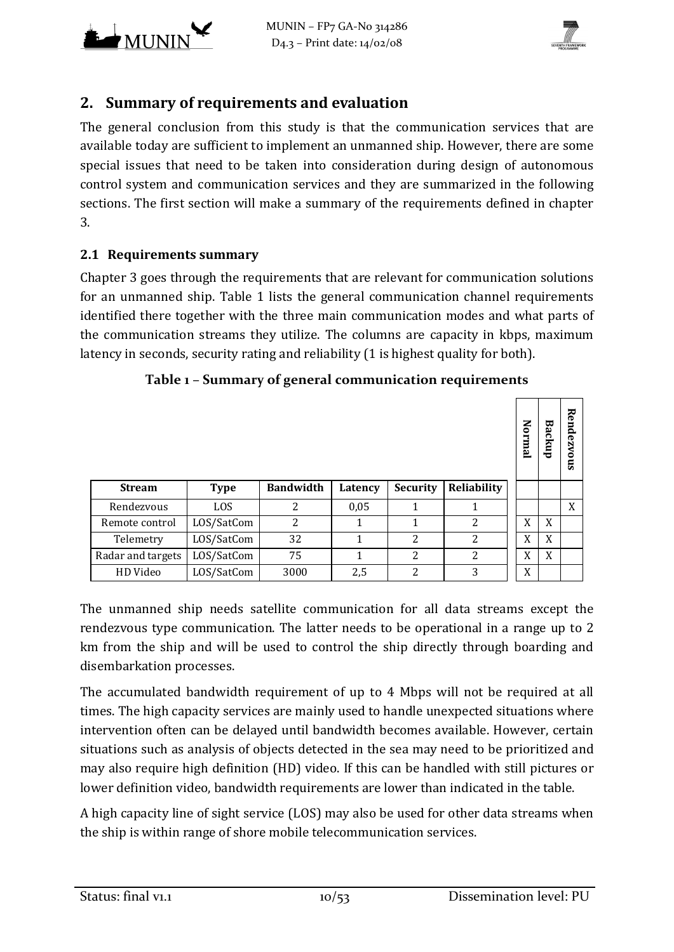



# **2. Summary of requirements and evaluation**

The general conclusion from this study is that the communication services that are available today are sufficient to implement an unmanned ship. However, there are some special issues that need to be taken into consideration during design of autonomous control system and communication services and they are summarized in the following sections. The first section will make a summary of the requirements defined in chapter [3.](#page-13-0)

#### **2.1 Requirements summary**

Chapter [3](#page-13-0) goes through the requirements that are relevant for communication solutions for an unmanned ship. [Table 1](#page-9-0) lists the general communication channel requirements identified there together with the three main communication modes and what parts of the communication streams they utilize. The columns are capacity in kbps, maximum latency in seconds, security rating and reliability (1 is highest quality for both).

## **Table 1 – Summary of general communication requirements**

<span id="page-9-0"></span>

|                 |             |                  |         |                 |                    | Mormal | Backup | Rendezvous |
|-----------------|-------------|------------------|---------|-----------------|--------------------|--------|--------|------------|
| <b>Stream</b>   | <b>Type</b> | <b>Bandwidth</b> | Latency | <b>Security</b> | <b>Reliability</b> |        |        |            |
| Rendezvous      | LOS         | $\overline{c}$   | 0,05    | 1               |                    |        |        | X          |
| emote control   | LOS/SatCom  | 2                |         | 1               | 2                  | X      | X      |            |
| Telemetry       | LOS/SatCom  | 32               | 1       | $\overline{2}$  | $\overline{2}$     | X      | X      |            |
| dar and targets | LOS/SatCom  | 75               | 1       | $\overline{2}$  | $\overline{2}$     | X      | X      |            |
| HD Video        | LOS/SatCom  | 3000             | 2,5     | 2               | 3                  | X      |        |            |

The unmanned ship needs satellite communication for all data streams except the rendezvous type communication. The latter needs to be operational in a range up to 2 km from the ship and will be used to control the ship directly through boarding and disembarkation processes.

The accumulated bandwidth requirement of up to 4 Mbps will not be required at all times. The high capacity services are mainly used to handle unexpected situations where intervention often can be delayed until bandwidth becomes available. However, certain situations such as analysis of objects detected in the sea may need to be prioritized and may also require high definition (HD) video. If this can be handled with still pictures or lower definition video, bandwidth requirements are lower than indicated in the table.

A high capacity line of sight service (LOS) may also be used for other data streams when the ship is within range of shore mobile telecommunication services.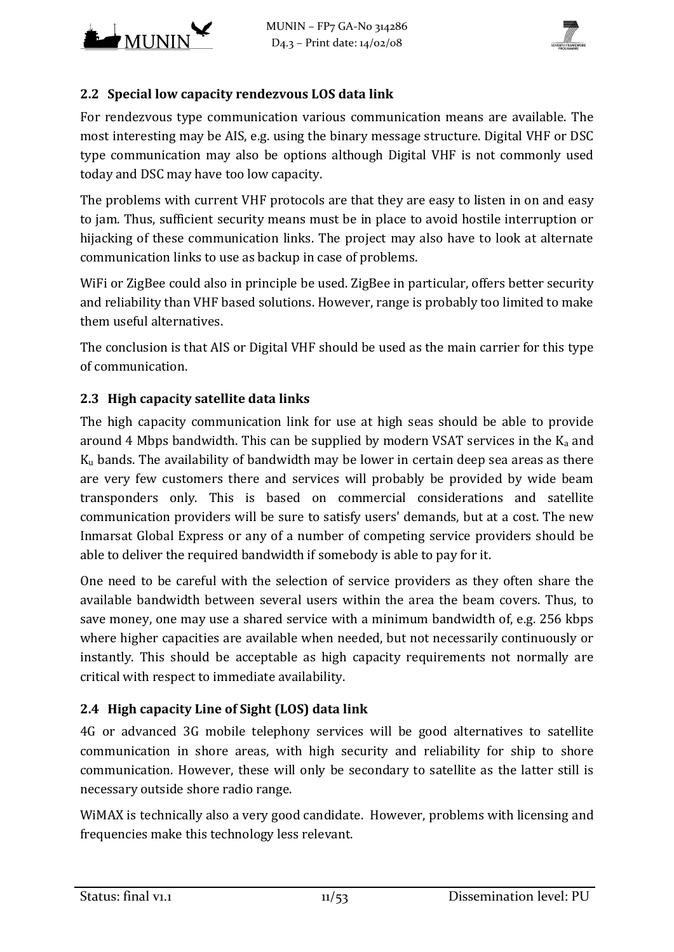



## **2.2 Special low capacity rendezvous LOS data link**

For rendezvous type communication various communication means are available. The most interesting may be AIS, e.g. using the binary message structure. Digital VHF or DSC type communication may also be options although Digital VHF is not commonly used today and DSC may have too low capacity.

The problems with current VHF protocols are that they are easy to listen in on and easy to jam. Thus, sufficient security means must be in place to avoid hostile interruption or hijacking of these communication links. The project may also have to look at alternate communication links to use as backup in case of problems.

WiFi or ZigBee could also in principle be used. ZigBee in particular, offers better security and reliability than VHF based solutions. However, range is probably too limited to make them useful alternatives.

The conclusion is that AIS or Digital VHF should be used as the main carrier for this type of communication.

## **2.3 High capacity satellite data links**

The high capacity communication link for use at high seas should be able to provide around 4 Mbps bandwidth. This can be supplied by modern VSAT services in the  $K_a$  and Ku bands. The availability of bandwidth may be lower in certain deep sea areas as there are very few customers there and services will probably be provided by wide beam transponders only. This is based on commercial considerations and satellite communication providers will be sure to satisfy users' demands, but at a cost. The new Inmarsat Global Express or any of a number of competing service providers should be able to deliver the required bandwidth if somebody is able to pay for it.

One need to be careful with the selection of service providers as they often share the available bandwidth between several users within the area the beam covers. Thus, to save money, one may use a shared service with a minimum bandwidth of, e.g. 256 kbps where higher capacities are available when needed, but not necessarily continuously or instantly. This should be acceptable as high capacity requirements not normally are critical with respect to immediate availability.

## **2.4 High capacity Line of Sight (LOS) data link**

4G or advanced 3G mobile telephony services will be good alternatives to satellite communication in shore areas, with high security and reliability for ship to shore communication. However, these will only be secondary to satellite as the latter still is necessary outside shore radio range.

WiMAX is technically also a very good candidate. However, problems with licensing and frequencies make this technology less relevant.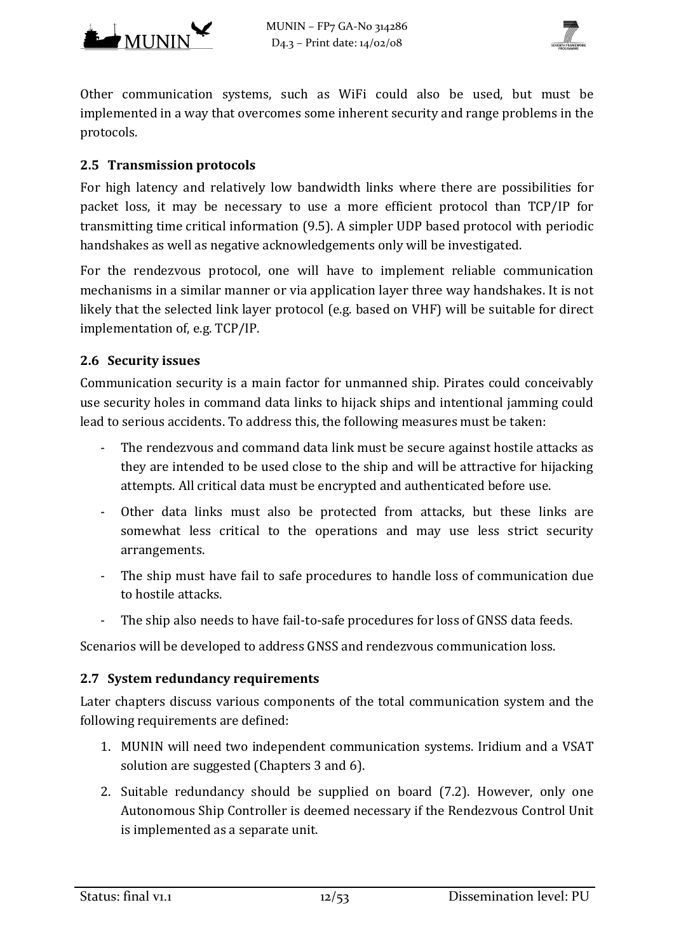



Other communication systems, such as WiFi could also be used, but must be implemented in a way that overcomes some inherent security and range problems in the protocols.

#### **2.5 Transmission protocols**

For high latency and relatively low bandwidth links where there are possibilities for packet loss, it may be necessary to use a more efficient protocol than TCP/IP for transmitting time critical information [\(9.5\)](#page-45-0). A simpler UDP based protocol with periodic handshakes as well as negative acknowledgements only will be investigated.

For the rendezvous protocol, one will have to implement reliable communication mechanisms in a similar manner or via application layer three way handshakes. It is not likely that the selected link layer protocol (e.g. based on VHF) will be suitable for direct implementation of, e.g. TCP/IP.

## **2.6 Security issues**

Communication security is a main factor for unmanned ship. Pirates could conceivably use security holes in command data links to hijack ships and intentional jamming could lead to serious accidents. To address this, the following measures must be taken:

- The rendezvous and command data link must be secure against hostile attacks as they are intended to be used close to the ship and will be attractive for hijacking attempts. All critical data must be encrypted and authenticated before use.
- Other data links must also be protected from attacks, but these links are somewhat less critical to the operations and may use less strict security arrangements.
- The ship must have fail to safe procedures to handle loss of communication due to hostile attacks.
- The ship also needs to have fail-to-safe procedures for loss of GNSS data feeds.

Scenarios will be developed to address GNSS and rendezvous communication loss.

#### **2.7 System redundancy requirements**

Later chapters discuss various components of the total communication system and the following requirements are defined:

- 1. MUNIN will need two independent communication systems. Iridium and a VSAT solution are suggested (Chapter[s 3](#page-13-0) and [6\)](#page-29-0).
- 2. Suitable redundancy should be supplied on board [\(7.2\)](#page-33-0). However, only one Autonomous Ship Controller is deemed necessary if the Rendezvous Control Unit is implemented as a separate unit.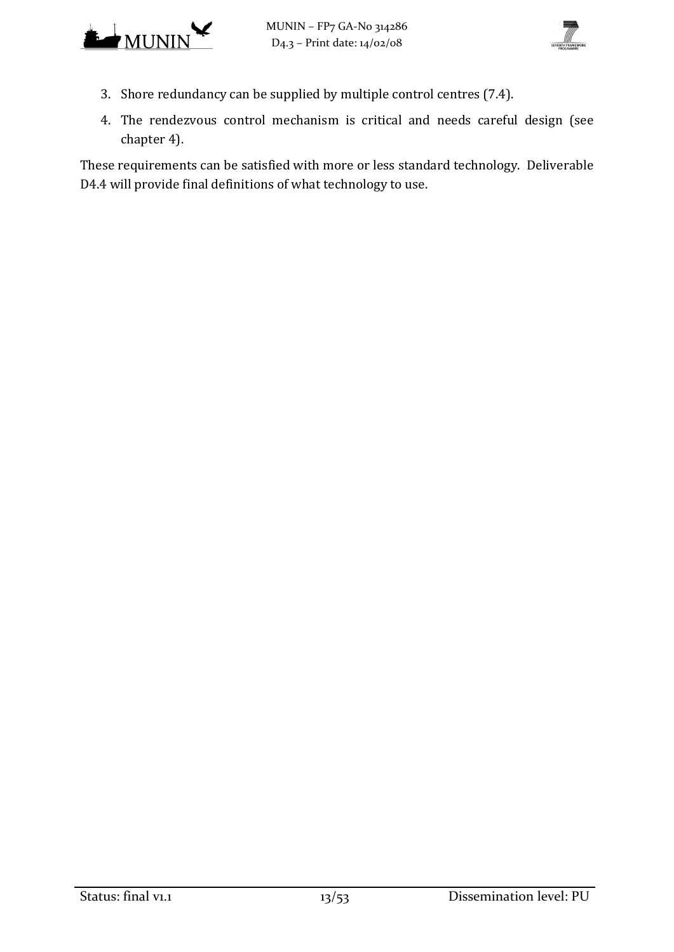



- 3. Shore redundancy can be supplied by multiple control centres [\(7.4\)](#page-35-0).
- 4. The rendezvous control mechanism is critical and needs careful design (see chapter [4\)](#page-20-0).

These requirements can be satisfied with more or less standard technology. Deliverable D4.4 will provide final definitions of what technology to use.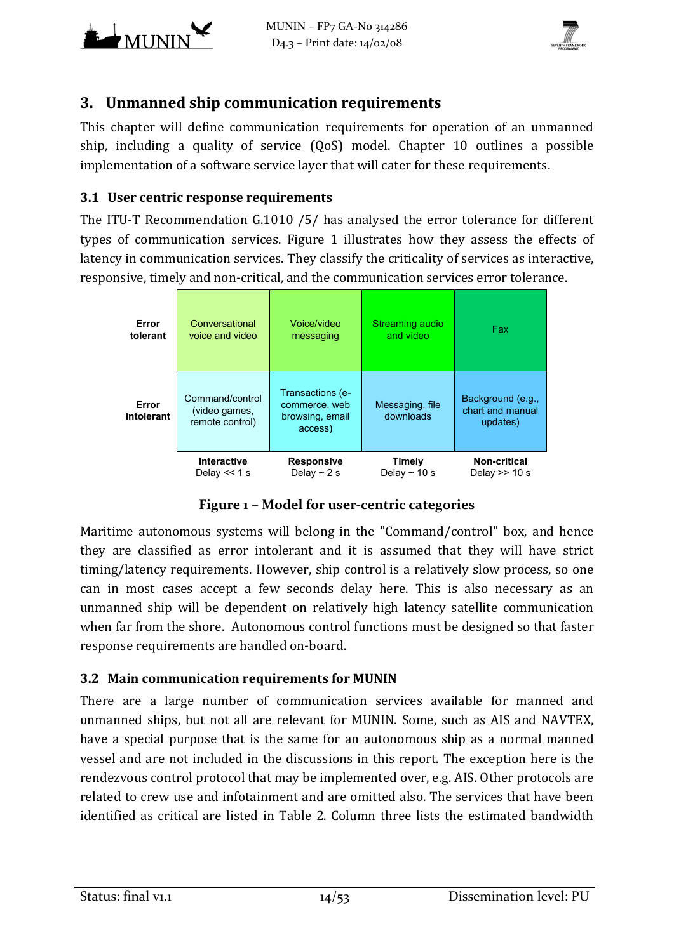



# <span id="page-13-0"></span>**3. Unmanned ship communication requirements**

This chapter will define communication requirements for operation of an unmanned ship, including a quality of service (QoS) model. Chapter [10](#page-48-0) outlines a possible implementation of a software service layer that will cater for these requirements.

#### **3.1 User centric response requirements**

The ITU-T Recommendation G.1010 [/5/ h](#page-50-0)as analysed the error tolerance for different types of communication services. [Figure 1](#page-13-1) illustrates how they assess the effects of latency in communication services. They classify the criticality of services as interactive, responsive, timely and non-critical, and the communication services error tolerance.



**Figure 1 – Model for user-centric categories**

<span id="page-13-1"></span>Maritime autonomous systems will belong in the "Command/control" box, and hence they are classified as error intolerant and it is assumed that they will have strict timing/latency requirements. However, ship control is a relatively slow process, so one can in most cases accept a few seconds delay here. This is also necessary as an unmanned ship will be dependent on relatively high latency satellite communication when far from the shore. Autonomous control functions must be designed so that faster response requirements are handled on-board.

#### <span id="page-13-2"></span>**3.2 Main communication requirements for MUNIN**

There are a large number of communication services available for manned and unmanned ships, but not all are relevant for MUNIN. Some, such as AIS and NAVTEX, have a special purpose that is the same for an autonomous ship as a normal manned vessel and are not included in the discussions in this report. The exception here is the rendezvous control protocol that may be implemented over, e.g. AIS. Other protocols are related to crew use and infotainment and are omitted also. The services that have been identified as critical are listed in [Table 2.](#page-14-0) Column three lists the estimated bandwidth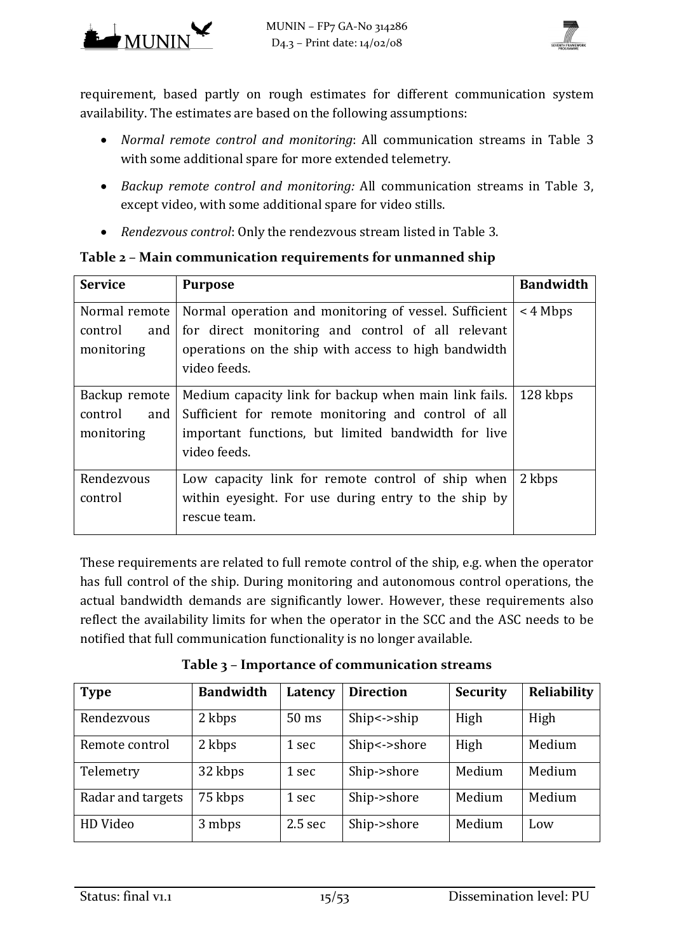

requirement, based partly on rough estimates for different communication system availability. The estimates are based on the following assumptions:

- *Normal remote control and monitoring*: All communication streams in [Table 3](#page-14-1) with some additional spare for more extended telemetry.
- *Backup remote control and monitoring:* All communication streams in [Table 3,](#page-14-1) except video, with some additional spare for video stills.
- *Rendezvous control*: Only the rendezvous stream listed in [Table 3.](#page-14-1)

# <span id="page-14-0"></span>**Table 2 – Main communication requirements for unmanned ship**

| <b>Service</b>                                | <b>Purpose</b>                                                                                                                                                                      | <b>Bandwidth</b> |
|-----------------------------------------------|-------------------------------------------------------------------------------------------------------------------------------------------------------------------------------------|------------------|
| Normal remote<br>control<br>and<br>monitoring | Normal operation and monitoring of vessel. Sufficient<br>for direct monitoring and control of all relevant<br>operations on the ship with access to high bandwidth<br>video feeds.  | $<$ 4 Mbps       |
| Backup remote<br>control<br>and<br>monitoring | Medium capacity link for backup when main link fails.<br>Sufficient for remote monitoring and control of all<br>important functions, but limited bandwidth for live<br>video feeds. | 128 kbps         |
| Rendezvous<br>control                         | Low capacity link for remote control of ship when<br>within eyesight. For use during entry to the ship by<br>rescue team.                                                           | 2 kbps           |

These requirements are related to full remote control of the ship, e.g. when the operator has full control of the ship. During monitoring and autonomous control operations, the actual bandwidth demands are significantly lower. However, these requirements also reflect the availability limits for when the operator in the SCC and the ASC needs to be notified that full communication functionality is no longer available.

**Table 3 – Importance of communication streams**

<span id="page-14-1"></span>

| <b>Type</b>       | <b>Bandwidth</b> | Latency         | <b>Direction</b>    | <b>Security</b> | Reliability |
|-------------------|------------------|-----------------|---------------------|-----------------|-------------|
| Rendezvous        | 2 kbps           | $50 \text{ ms}$ | $Ship \leq -\nship$ | High            | High        |
| Remote control    | 2 kbps           | 1 sec           | Ship <- > shore     | High            | Medium      |
| Telemetry         | 32 kbps          | 1 sec           | Ship->shore         | Medium          | Medium      |
| Radar and targets | 75 kbps          | 1 sec           | Ship->shore         | Medium          | Medium      |
| HD Video          | 3 mbps           | $2.5$ sec       | Ship->shore         | Medium          | Low         |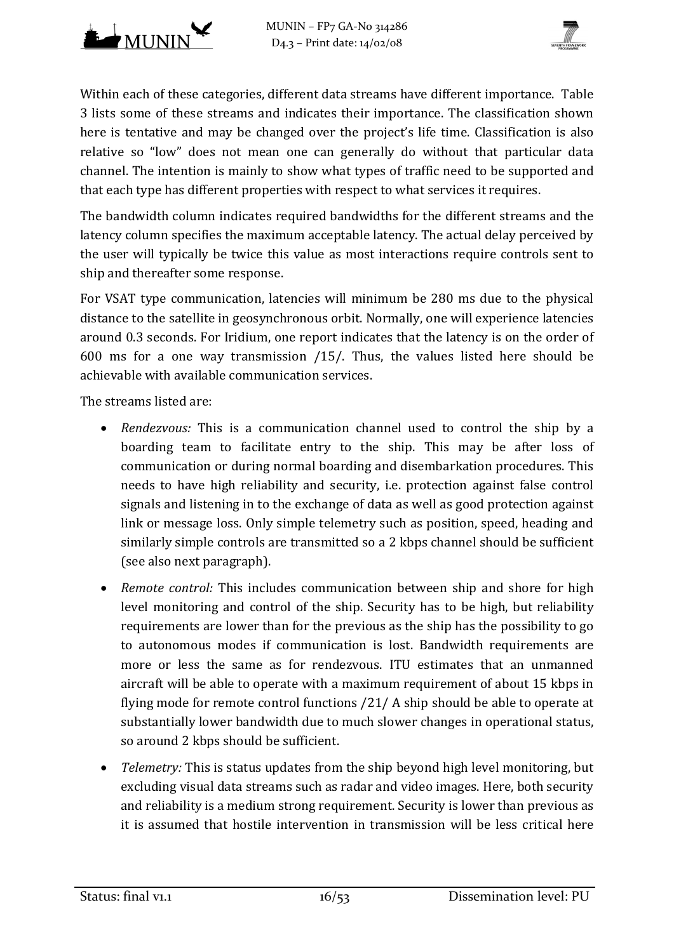



Within each of these categories, different data streams have different importance. [Table](#page-14-1)  [3](#page-14-1) lists some of these streams and indicates their importance. The classification shown here is tentative and may be changed over the project's life time. Classification is also relative so "low" does not mean one can generally do without that particular data channel. The intention is mainly to show what types of traffic need to be supported and that each type has different properties with respect to what services it requires.

The bandwidth column indicates required bandwidths for the different streams and the latency column specifies the maximum acceptable latency. The actual delay perceived by the user will typically be twice this value as most interactions require controls sent to ship and thereafter some response.

For VSAT type communication, latencies will minimum be 280 ms due to the physical distance to the satellite in geosynchronous orbit. Normally, one will experience latencies around 0.3 seconds. For Iridium, one report indicates that the latency is on the order of 600 ms for a one way transmission [/15/.](#page-51-0) Thus, the values listed here should be achievable with available communication services.

The streams listed are:

- *Rendezvous:* This is a communication channel used to control the ship by a boarding team to facilitate entry to the ship. This may be after loss of communication or during normal boarding and disembarkation procedures. This needs to have high reliability and security, i.e. protection against false control signals and listening in to the exchange of data as well as good protection against link or message loss. Only simple telemetry such as position, speed, heading and similarly simple controls are transmitted so a 2 kbps channel should be sufficient (see also next paragraph).
- *Remote control:* This includes communication between ship and shore for high level monitoring and control of the ship. Security has to be high, but reliability requirements are lower than for the previous as the ship has the possibility to go to autonomous modes if communication is lost. Bandwidth requirements are more or less the same as for rendezvous. ITU estimates that an unmanned aircraft will be able to operate with a maximum requirement of about 15 kbps in flying mode for remote control functions [/21/ A](#page-51-1) ship should be able to operate at substantially lower bandwidth due to much slower changes in operational status, so around 2 kbps should be sufficient.
- *Telemetry:* This is status updates from the ship beyond high level monitoring, but excluding visual data streams such as radar and video images. Here, both security and reliability is a medium strong requirement. Security is lower than previous as it is assumed that hostile intervention in transmission will be less critical here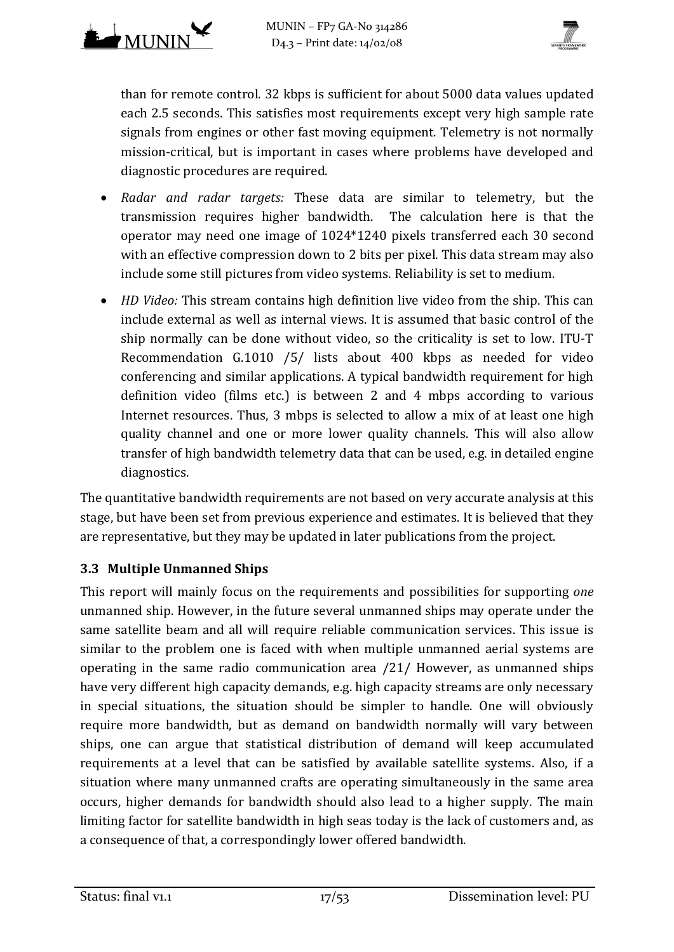

than for remote control. 32 kbps is sufficient for about 5000 data values updated each 2.5 seconds. This satisfies most requirements except very high sample rate signals from engines or other fast moving equipment. Telemetry is not normally mission-critical, but is important in cases where problems have developed and diagnostic procedures are required.

- *Radar and radar targets:* These data are similar to telemetry, but the transmission requires higher bandwidth. The calculation here is that the operator may need one image of 1024\*1240 pixels transferred each 30 second with an effective compression down to 2 bits per pixel. This data stream may also include some still pictures from video systems. Reliability is set to medium.
- *HD Video:* This stream contains high definition live video from the ship. This can include external as well as internal views. It is assumed that basic control of the ship normally can be done without video, so the criticality is set to low. ITU-T Recommendation G.1010 [/5/ l](#page-50-0)ists about 400 kbps as needed for video conferencing and similar applications. A typical bandwidth requirement for high definition video (films etc.) is between 2 and 4 mbps according to various Internet resources. Thus, 3 mbps is selected to allow a mix of at least one high quality channel and one or more lower quality channels. This will also allow transfer of high bandwidth telemetry data that can be used, e.g. in detailed engine diagnostics.

The quantitative bandwidth requirements are not based on very accurate analysis at this stage, but have been set from previous experience and estimates. It is believed that they are representative, but they may be updated in later publications from the project.

## **3.3 Multiple Unmanned Ships**

This report will mainly focus on the requirements and possibilities for supporting *one* unmanned ship. However, in the future several unmanned ships may operate under the same satellite beam and all will require reliable communication services. This issue is similar to the problem one is faced with when multiple unmanned aerial systems are operating in the same radio communication area [/21/ H](#page-51-1)owever, as unmanned ships have very different high capacity demands, e.g. high capacity streams are only necessary in special situations, the situation should be simpler to handle. One will obviously require more bandwidth, but as demand on bandwidth normally will vary between ships, one can argue that statistical distribution of demand will keep accumulated requirements at a level that can be satisfied by available satellite systems. Also, if a situation where many unmanned crafts are operating simultaneously in the same area occurs, higher demands for bandwidth should also lead to a higher supply. The main limiting factor for satellite bandwidth in high seas today is the lack of customers and, as a consequence of that, a correspondingly lower offered bandwidth.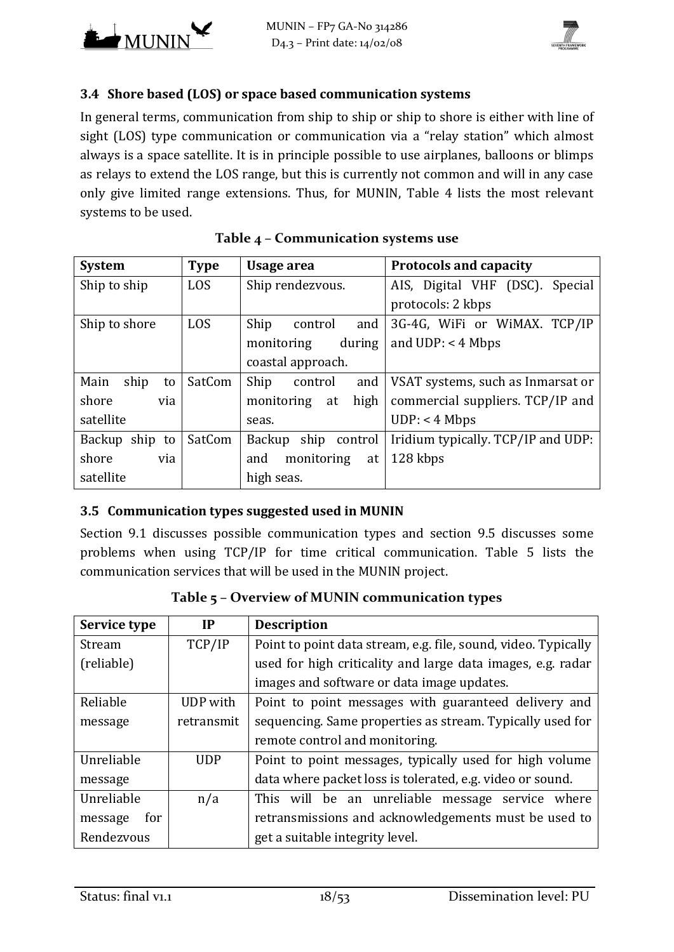



## **3.4 Shore based (LOS) or space based communication systems**

In general terms, communication from ship to ship or ship to shore is either with line of sight (LOS) type communication or communication via a "relay station" which almost always is a space satellite. It is in principle possible to use airplanes, balloons or blimps as relays to extend the LOS range, but this is currently not common and will in any case only give limited range extensions. Thus, for MUNIN, [Table 4](#page-17-0) lists the most relevant systems to be used.

<span id="page-17-0"></span>

| <b>System</b>      | <b>Type</b> | Usage area                | <b>Protocols and capacity</b>      |
|--------------------|-------------|---------------------------|------------------------------------|
| Ship to ship       | <b>LOS</b>  | Ship rendezvous.          | AIS, Digital VHF (DSC). Special    |
|                    |             |                           | protocols: 2 kbps                  |
| Ship to shore      | <b>LOS</b>  | Ship<br>and<br>control    | 3G-4G, WiFi or WiMAX. TCP/IP       |
|                    |             | during<br>monitoring      | and $UDP: < 4 Mbps$                |
|                    |             | coastal approach.         |                                    |
| ship<br>Main<br>to | SatCom      | Ship<br>and<br>control    | VSAT systems, such as Inmarsat or  |
| shore<br>via       |             | high<br>monitoring<br>at  | commercial suppliers. TCP/IP and   |
| satellite          |             | seas.                     | UDP: < 4 Mbps                      |
| Backup ship to     | SatCom      | ship<br>Backup<br>control | Iridium typically. TCP/IP and UDP: |
| shore<br>via       |             | monitoring<br>and<br>at   | 128 kbps                           |
| satellite          |             | high seas.                |                                    |

## **Table 4 – Communication systems use**

#### <span id="page-17-2"></span>**3.5 Communication types suggested used in MUNIN**

Section [9.1](#page-41-0) discusses possible communication types and section [9.5](#page-45-0) discusses some problems when using TCP/IP for time critical communication. [Table 5](#page-17-1) lists the communication services that will be used in the MUNIN project.

<span id="page-17-1"></span>

| Service type             | IP         | <b>Description</b>                                             |  |
|--------------------------|------------|----------------------------------------------------------------|--|
| Stream                   | TCP/IP     | Point to point data stream, e.g. file, sound, video. Typically |  |
| (reliable)               |            | used for high criticality and large data images, e.g. radar    |  |
|                          |            | images and software or data image updates.                     |  |
| Reliable                 | UDP with   | Point to point messages with guaranteed delivery and           |  |
| message                  | retransmit | sequencing. Same properties as stream. Typically used for      |  |
|                          |            | remote control and monitoring.                                 |  |
| Unreliable<br><b>UDP</b> |            | Point to point messages, typically used for high volume        |  |
| message                  |            | data where packet loss is tolerated, e.g. video or sound.      |  |
| Unreliable               | n/a        | This will be an unreliable message service where               |  |
| message<br>for           |            | retransmissions and acknowledgements must be used to           |  |
| Rendezvous               |            | get a suitable integrity level.                                |  |

**Table 5 – Overview of MUNIN communication types**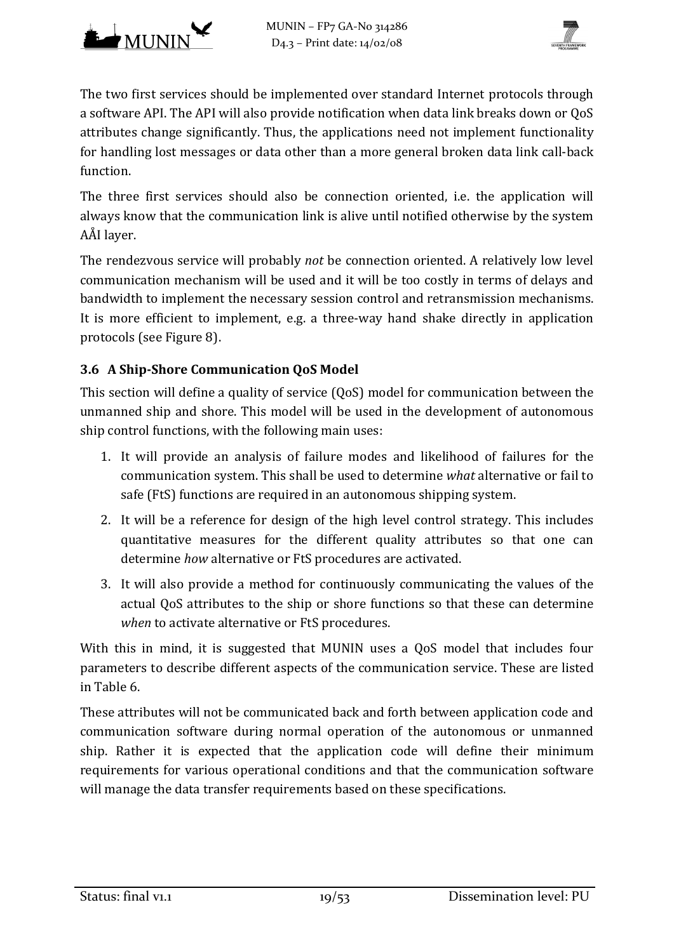



The two first services should be implemented over standard Internet protocols through a software API. The API will also provide notification when data link breaks down or QoS attributes change significantly. Thus, the applications need not implement functionality for handling lost messages or data other than a more general broken data link call-back function.

The three first services should also be connection oriented, i.e. the application will always know that the communication link is alive until notified otherwise by the system AÅI layer.

The rendezvous service will probably *not* be connection oriented. A relatively low level communication mechanism will be used and it will be too costly in terms of delays and bandwidth to implement the necessary session control and retransmission mechanisms. It is more efficient to implement, e.g. a three-way hand shake directly in application protocols (see [Figure 8\)](#page-42-0).

## <span id="page-18-0"></span>**3.6 A Ship-Shore Communication QoS Model**

This section will define a quality of service (QoS) model for communication between the unmanned ship and shore. This model will be used in the development of autonomous ship control functions, with the following main uses:

- 1. It will provide an analysis of failure modes and likelihood of failures for the communication system. This shall be used to determine *what* alternative or fail to safe (FtS) functions are required in an autonomous shipping system.
- 2. It will be a reference for design of the high level control strategy. This includes quantitative measures for the different quality attributes so that one can determine *how* alternative or FtS procedures are activated.
- 3. It will also provide a method for continuously communicating the values of the actual QoS attributes to the ship or shore functions so that these can determine *when* to activate alternative or FtS procedures.

With this in mind, it is suggested that MUNIN uses a QoS model that includes four parameters to describe different aspects of the communication service. These are listed in [Table 6.](#page-19-0)

These attributes will not be communicated back and forth between application code and communication software during normal operation of the autonomous or unmanned ship. Rather it is expected that the application code will define their minimum requirements for various operational conditions and that the communication software will manage the data transfer requirements based on these specifications.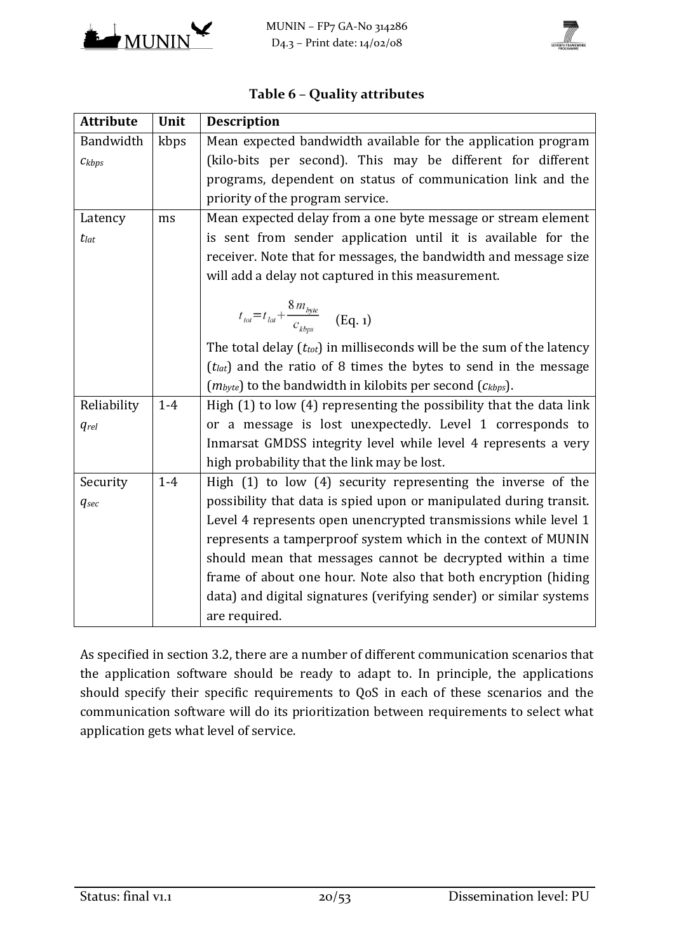



<span id="page-19-0"></span>

| <b>Attribute</b>   | Unit  | <b>Description</b>                                                                                           |
|--------------------|-------|--------------------------------------------------------------------------------------------------------------|
| Bandwidth          | kbps  | Mean expected bandwidth available for the application program                                                |
| $C_k$ bps          |       | (kilo-bits per second). This may be different for different                                                  |
|                    |       | programs, dependent on status of communication link and the                                                  |
|                    |       | priority of the program service.                                                                             |
| Latency            | ms    | Mean expected delay from a one byte message or stream element                                                |
| $t_{lat}$          |       | is sent from sender application until it is available for the                                                |
|                    |       | receiver. Note that for messages, the bandwidth and message size                                             |
|                    |       | will add a delay not captured in this measurement.                                                           |
|                    |       | $t_{\text{tot}}\text{=}t_{\text{lat}}\text{+}\frac{8\,m_{\text{byte}}}{c_{\text{khne}}}\quad\text{ (Eq. 1)}$ |
|                    |       | The total delay $(t_{tot})$ in milliseconds will be the sum of the latency                                   |
|                    |       | $(tlat)$ and the ratio of 8 times the bytes to send in the message                                           |
|                    |       | $(m_{byte})$ to the bandwidth in kilobits per second $(c_{kbps})$ .                                          |
| Reliability        | $1-4$ | High (1) to low (4) representing the possibility that the data link                                          |
| <i><b>grel</b></i> |       | or a message is lost unexpectedly. Level 1 corresponds to                                                    |
|                    |       | Inmarsat GMDSS integrity level while level 4 represents a very                                               |
|                    |       | high probability that the link may be lost.                                                                  |
| Security           | $1-4$ | High $(1)$ to low $(4)$ security representing the inverse of the                                             |
| $q_{sec}$          |       | possibility that data is spied upon or manipulated during transit.                                           |
|                    |       | Level 4 represents open unencrypted transmissions while level 1                                              |
|                    |       | represents a tamperproof system which in the context of MUNIN                                                |
|                    |       | should mean that messages cannot be decrypted within a time                                                  |
|                    |       | frame of about one hour. Note also that both encryption (hiding                                              |
|                    |       | data) and digital signatures (verifying sender) or similar systems                                           |
|                    |       | are required.                                                                                                |

## **Table 6 – Quality attributes**

As specified in section [3.2,](#page-13-2) there are a number of different communication scenarios that the application software should be ready to adapt to. In principle, the applications should specify their specific requirements to QoS in each of these scenarios and the communication software will do its prioritization between requirements to select what application gets what level of service.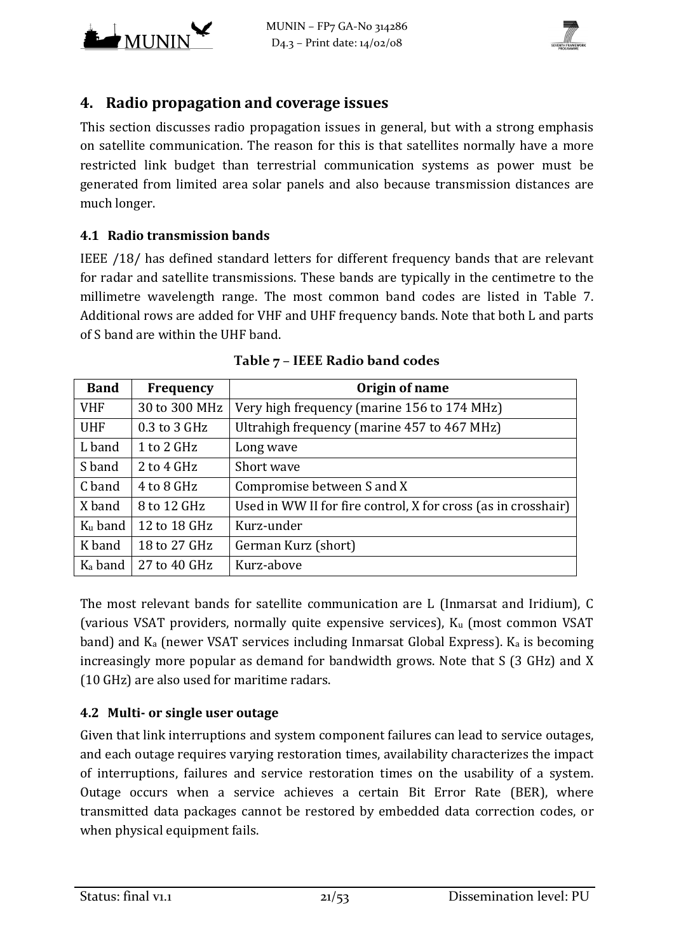



# <span id="page-20-0"></span>**4. Radio propagation and coverage issues**

This section discusses radio propagation issues in general, but with a strong emphasis on satellite communication. The reason for this is that satellites normally have a more restricted link budget than terrestrial communication systems as power must be generated from limited area solar panels and also because transmission distances are much longer.

#### **4.1 Radio transmission bands**

IEEE [/18/ h](#page-51-2)as defined standard letters for different frequency bands that are relevant for radar and satellite transmissions. These bands are typically in the centimetre to the millimetre wavelength range. The most common band codes are listed in [Table 7.](#page-20-1) Additional rows are added for VHF and UHF frequency bands. Note that both L and parts of S band are within the UHF band.

<span id="page-20-1"></span>

| <b>Band</b>         | Frequency     | Origin of name                                                |
|---------------------|---------------|---------------------------------------------------------------|
| <b>VHF</b>          | 30 to 300 MHz | Very high frequency (marine 156 to 174 MHz)                   |
| <b>UHF</b>          | 0.3 to 3 GHz  | Ultrahigh frequency (marine 457 to 467 MHz)                   |
| L band              | 1 to 2 GHz    | Long wave                                                     |
| S band              | $2$ to 4 GHz  | Short wave                                                    |
| C band              | 4 to 8 GHz    | Compromise between S and X                                    |
| X band              | 8 to 12 GHz   | Used in WW II for fire control, X for cross (as in crosshair) |
| $K_u$ band          | 12 to 18 GHz  | Kurz-under                                                    |
| K band              | 18 to 27 GHz  | German Kurz (short)                                           |
| K <sub>a</sub> band | 27 to 40 GHz  | Kurz-above                                                    |

| Table 7 - IEEE Radio band codes |  |  |
|---------------------------------|--|--|
|                                 |  |  |

The most relevant bands for satellite communication are L (Inmarsat and Iridium), C (various VSAT providers, normally quite expensive services),  $K_u$  (most common VSAT band) and  $K_a$  (newer VSAT services including Inmarsat Global Express).  $K_a$  is becoming increasingly more popular as demand for bandwidth grows. Note that S (3 GHz) and X (10 GHz) are also used for maritime radars.

## **4.2 Multi- or single user outage**

Given that link interruptions and system component failures can lead to service outages, and each outage requires varying restoration times, availability characterizes the impact of interruptions, failures and service restoration times on the usability of a system. Outage occurs when a service achieves a certain Bit Error Rate (BER), where transmitted data packages cannot be restored by embedded data correction codes, or when physical equipment fails.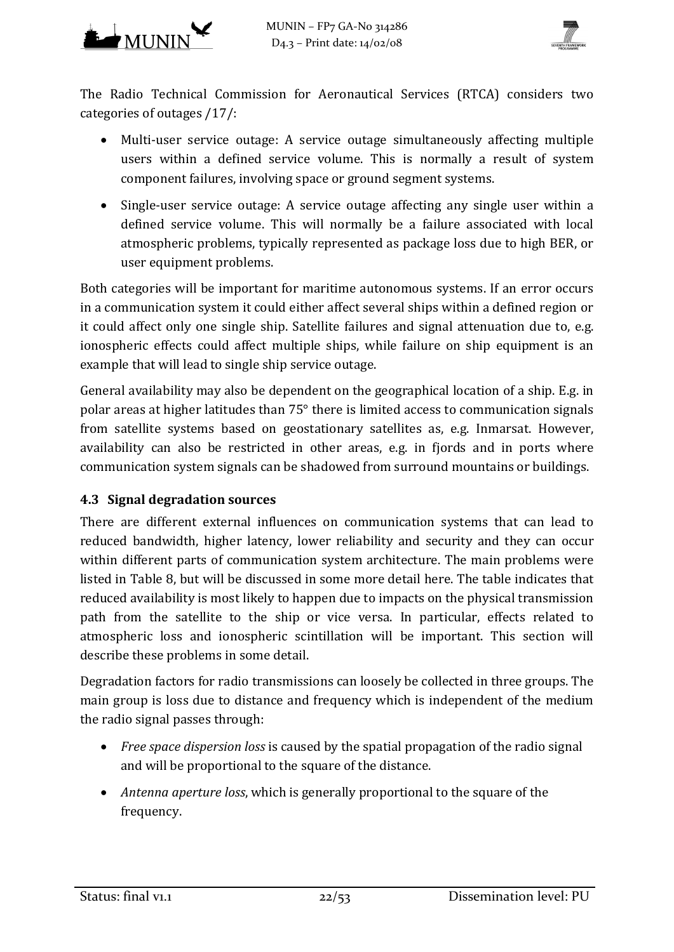



The Radio Technical Commission for Aeronautical Services (RTCA) considers two categories of outages [/17/:](#page-51-3)

- Multi-user service outage: A service outage simultaneously affecting multiple users within a defined service volume. This is normally a result of system component failures, involving space or ground segment systems.
- Single-user service outage: A service outage affecting any single user within a defined service volume. This will normally be a failure associated with local atmospheric problems, typically represented as package loss due to high BER, or user equipment problems.

Both categories will be important for maritime autonomous systems. If an error occurs in a communication system it could either affect several ships within a defined region or it could affect only one single ship. Satellite failures and signal attenuation due to, e.g. ionospheric effects could affect multiple ships, while failure on ship equipment is an example that will lead to single ship service outage.

General availability may also be dependent on the geographical location of a ship. E.g. in polar areas at higher latitudes than 75° there is limited access to communication signals from satellite systems based on geostationary satellites as, e.g. Inmarsat. However, availability can also be restricted in other areas, e.g. in fjords and in ports where communication system signals can be shadowed from surround mountains or buildings.

## **4.3 Signal degradation sources**

There are different external influences on communication systems that can lead to reduced bandwidth, higher latency, lower reliability and security and they can occur within different parts of communication system architecture. The main problems were listed in [Table 8,](#page-31-0) but will be discussed in some more detail here. The table indicates that reduced availability is most likely to happen due to impacts on the physical transmission path from the satellite to the ship or vice versa. In particular, effects related to atmospheric loss and ionospheric scintillation will be important. This section will describe these problems in some detail.

Degradation factors for radio transmissions can loosely be collected in three groups. The main group is loss due to distance and frequency which is independent of the medium the radio signal passes through:

- *Free space dispersion loss* is caused by the spatial propagation of the radio signal and will be proportional to the square of the distance.
- *Antenna aperture loss*, which is generally proportional to the square of the frequency.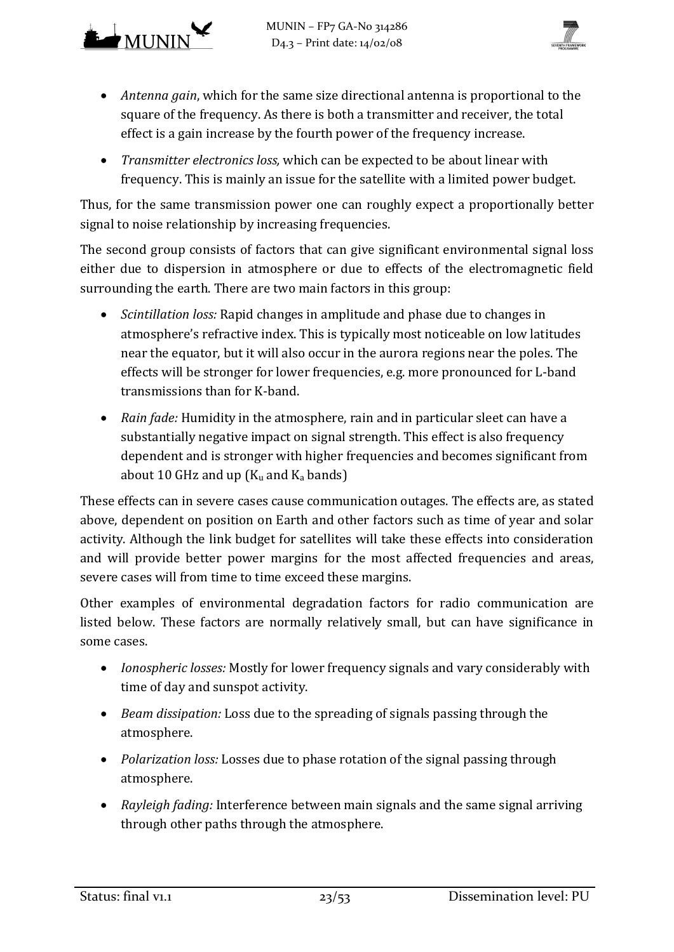



- *Antenna gain*, which for the same size directional antenna is proportional to the square of the frequency. As there is both a transmitter and receiver, the total effect is a gain increase by the fourth power of the frequency increase.
- *Transmitter electronics loss,* which can be expected to be about linear with frequency. This is mainly an issue for the satellite with a limited power budget.

Thus, for the same transmission power one can roughly expect a proportionally better signal to noise relationship by increasing frequencies.

The second group consists of factors that can give significant environmental signal loss either due to dispersion in atmosphere or due to effects of the electromagnetic field surrounding the earth. There are two main factors in this group:

- *Scintillation loss:* Rapid changes in amplitude and phase due to changes in atmosphere's refractive index. This is typically most noticeable on low latitudes near the equator, but it will also occur in the aurora regions near the poles. The effects will be stronger for lower frequencies, e.g. more pronounced for L-band transmissions than for K-band.
- *Rain fade:* Humidity in the atmosphere, rain and in particular sleet can have a substantially negative impact on signal strength. This effect is also frequency dependent and is stronger with higher frequencies and becomes significant from about 10 GHz and up  $(K_u$  and  $K_a$  bands)

These effects can in severe cases cause communication outages. The effects are, as stated above, dependent on position on Earth and other factors such as time of year and solar activity. Although the link budget for satellites will take these effects into consideration and will provide better power margins for the most affected frequencies and areas, severe cases will from time to time exceed these margins.

Other examples of environmental degradation factors for radio communication are listed below. These factors are normally relatively small, but can have significance in some cases.

- *Ionospheric losses:* Mostly for lower frequency signals and vary considerably with time of day and sunspot activity.
- *Beam dissipation:* Loss due to the spreading of signals passing through the atmosphere.
- *Polarization loss:* Losses due to phase rotation of the signal passing through atmosphere.
- *Rayleigh fading:* Interference between main signals and the same signal arriving through other paths through the atmosphere.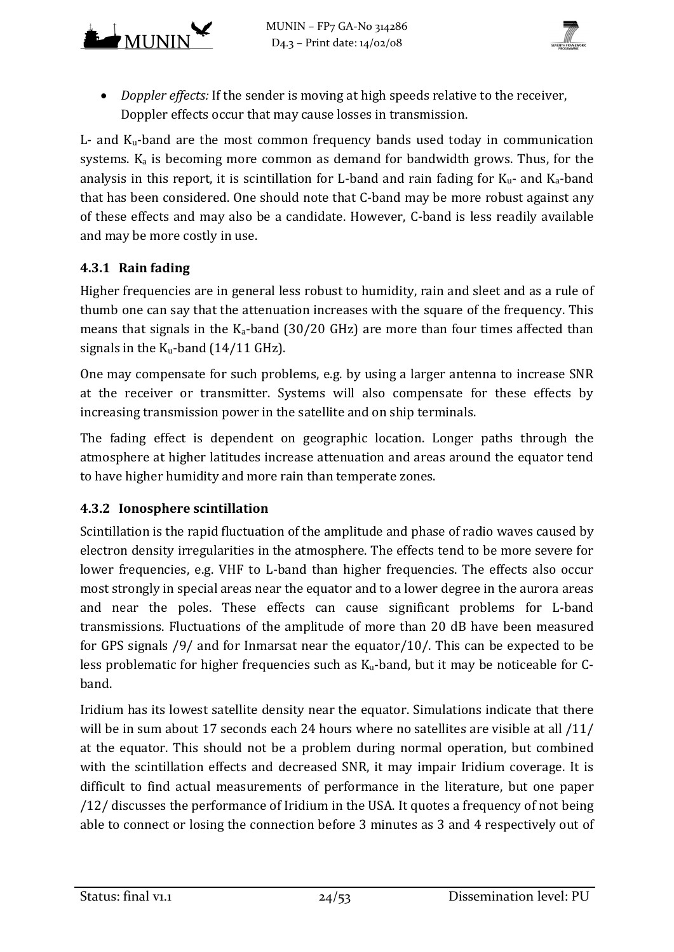



• *Doppler effects:* If the sender is moving at high speeds relative to the receiver, Doppler effects occur that may cause losses in transmission.

 $L$ - and  $K_u$ -band are the most common frequency bands used today in communication systems.  $K_a$  is becoming more common as demand for bandwidth grows. Thus, for the analysis in this report, it is scintillation for L-band and rain fading for  $K_u$ - and  $K_a$ -band that has been considered. One should note that C-band may be more robust against any of these effects and may also be a candidate. However, C-band is less readily available and may be more costly in use.

## **4.3.1 Rain fading**

Higher frequencies are in general less robust to humidity, rain and sleet and as a rule of thumb one can say that the attenuation increases with the square of the frequency. This means that signals in the  $K_a$ -band (30/20 GHz) are more than four times affected than signals in the  $K_u$ -band (14/11 GHz).

One may compensate for such problems, e.g. by using a larger antenna to increase SNR at the receiver or transmitter. Systems will also compensate for these effects by increasing transmission power in the satellite and on ship terminals.

The fading effect is dependent on geographic location. Longer paths through the atmosphere at higher latitudes increase attenuation and areas around the equator tend to have higher humidity and more rain than temperate zones.

## **4.3.2 Ionosphere scintillation**

Scintillation is the rapid fluctuation of the amplitude and phase of radio waves caused by electron density irregularities in the atmosphere. The effects tend to be more severe for lower frequencies, e.g. VHF to L-band than higher frequencies. The effects also occur most strongly in special areas near the equator and to a lower degree in the aurora areas and near the poles. These effects can cause significant problems for L-band transmissions. Fluctuations of the amplitude of more than 20 dB have been measured for GPS signals [/9/ a](#page-50-1)nd for Inmarsat near the equato[r/10/.](#page-50-2) This can be expected to be less problematic for higher frequencies such as  $K_u$ -band, but it may be noticeable for Cband.

Iridium has its lowest satellite density near the equator. Simulations indicate that there will be in sum about 17 seconds each 24 hours where no satellites are visible at all  $/11/$ at the equator. This should not be a problem during normal operation, but combined with the scintillation effects and decreased SNR, it may impair Iridium coverage. It is difficult to find actual measurements of performance in the literature, but one paper [/12/ d](#page-50-4)iscusses the performance of Iridium in the USA. It quotes a frequency of not being able to connect or losing the connection before 3 minutes as 3 and 4 respectively out of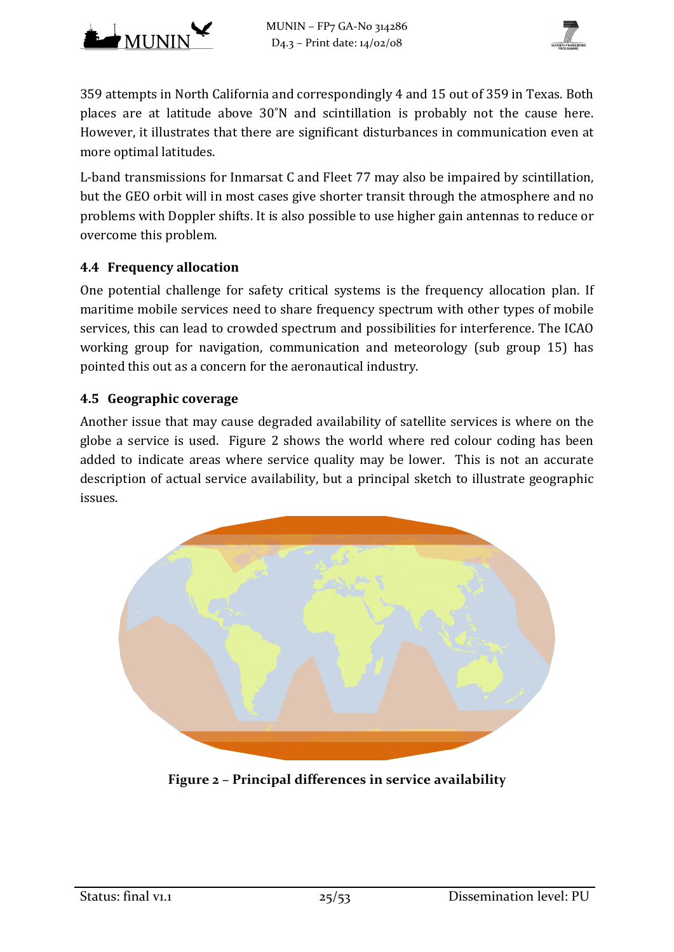



359 attempts in North California and correspondingly 4 and 15 out of 359 in Texas. Both places are at latitude above 30˚N and scintillation is probably not the cause here. However, it illustrates that there are significant disturbances in communication even at more optimal latitudes.

L-band transmissions for Inmarsat C and Fleet 77 may also be impaired by scintillation, but the GEO orbit will in most cases give shorter transit through the atmosphere and no problems with Doppler shifts. It is also possible to use higher gain antennas to reduce or overcome this problem.

#### **4.4 Frequency allocation**

One potential challenge for safety critical systems is the frequency allocation plan. If maritime mobile services need to share frequency spectrum with other types of mobile services, this can lead to crowded spectrum and possibilities for interference. The ICAO working group for navigation, communication and meteorology (sub group 15) has pointed this out as a concern for the aeronautical industry.

## **4.5 Geographic coverage**

Another issue that may cause degraded availability of satellite services is where on the globe a service is used. [Figure 2](#page-24-0) shows the world where red colour coding has been added to indicate areas where service quality may be lower. This is not an accurate description of actual service availability, but a principal sketch to illustrate geographic issues.

<span id="page-24-0"></span>

**Figure 2 – Principal differences in service availability**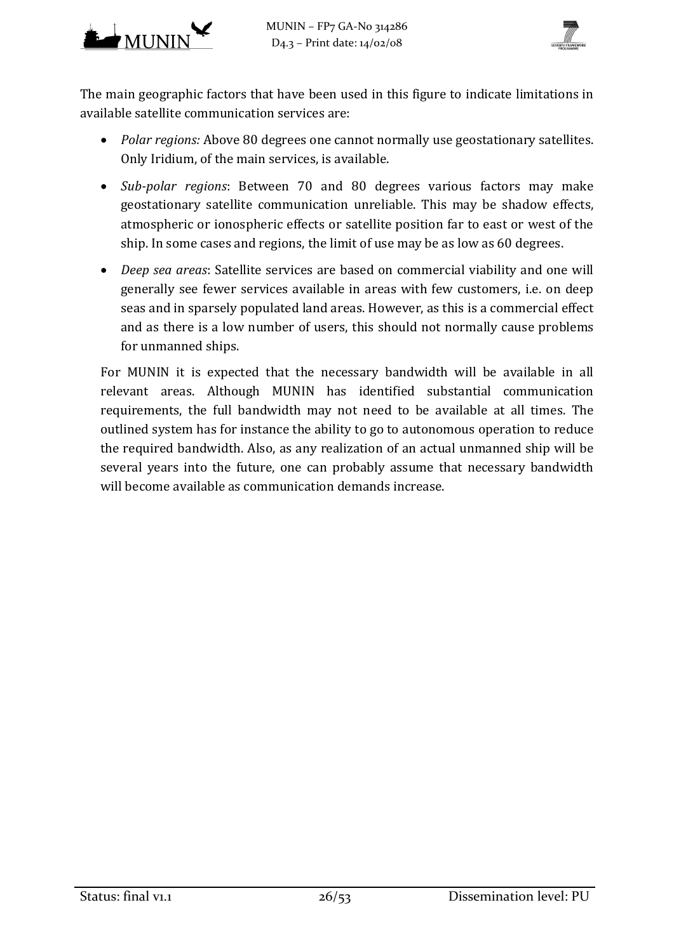



The main geographic factors that have been used in this figure to indicate limitations in available satellite communication services are:

- *Polar regions:* Above 80 degrees one cannot normally use geostationary satellites. Only Iridium, of the main services, is available.
- *Sub-polar regions*: Between 70 and 80 degrees various factors may make geostationary satellite communication unreliable. This may be shadow effects, atmospheric or ionospheric effects or satellite position far to east or west of the ship. In some cases and regions, the limit of use may be as low as 60 degrees.
- *Deep sea areas*: Satellite services are based on commercial viability and one will generally see fewer services available in areas with few customers, i.e. on deep seas and in sparsely populated land areas. However, as this is a commercial effect and as there is a low number of users, this should not normally cause problems for unmanned ships.

For MUNIN it is expected that the necessary bandwidth will be available in all relevant areas. Although MUNIN has identified substantial communication requirements, the full bandwidth may not need to be available at all times. The outlined system has for instance the ability to go to autonomous operation to reduce the required bandwidth. Also, as any realization of an actual unmanned ship will be several years into the future, one can probably assume that necessary bandwidth will become available as communication demands increase.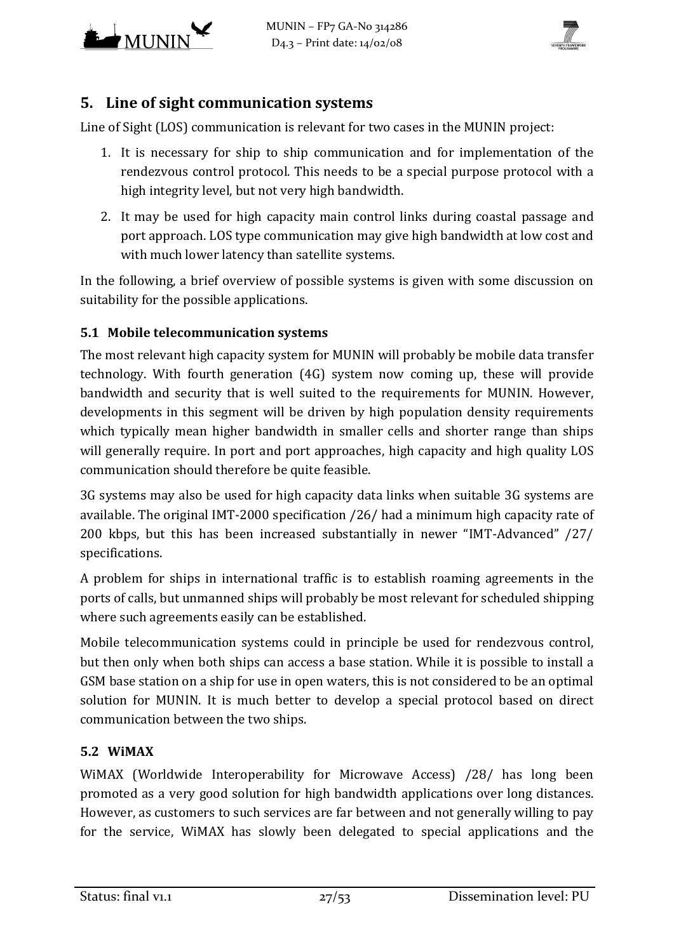



# **5. Line of sight communication systems**

Line of Sight (LOS) communication is relevant for two cases in the MUNIN project:

- 1. It is necessary for ship to ship communication and for implementation of the rendezvous control protocol. This needs to be a special purpose protocol with a high integrity level, but not very high bandwidth.
- 2. It may be used for high capacity main control links during coastal passage and port approach. LOS type communication may give high bandwidth at low cost and with much lower latency than satellite systems.

In the following, a brief overview of possible systems is given with some discussion on suitability for the possible applications.

## **5.1 Mobile telecommunication systems**

The most relevant high capacity system for MUNIN will probably be mobile data transfer technology. With fourth generation (4G) system now coming up, these will provide bandwidth and security that is well suited to the requirements for MUNIN. However, developments in this segment will be driven by high population density requirements which typically mean higher bandwidth in smaller cells and shorter range than ships will generally require. In port and port approaches, high capacity and high quality LOS communication should therefore be quite feasible.

3G systems may also be used for high capacity data links when suitable 3G systems are available. The original IMT-2000 specification [/26/ h](#page-51-4)ad a minimum high capacity rate of 200 kbps, but this has been increased substantially in newer "IMT-Advanced" [/27/](#page-51-5)  specifications.

A problem for ships in international traffic is to establish roaming agreements in the ports of calls, but unmanned ships will probably be most relevant for scheduled shipping where such agreements easily can be established.

Mobile telecommunication systems could in principle be used for rendezvous control, but then only when both ships can access a base station. While it is possible to install a GSM base station on a ship for use in open waters, this is not considered to be an optimal solution for MUNIN. It is much better to develop a special protocol based on direct communication between the two ships.

## **5.2 WiMAX**

WiMAX (Worldwide Interoperability for Microwave Access) [/28/ h](#page-51-6)as long been promoted as a very good solution for high bandwidth applications over long distances. However, as customers to such services are far between and not generally willing to pay for the service, WiMAX has slowly been delegated to special applications and the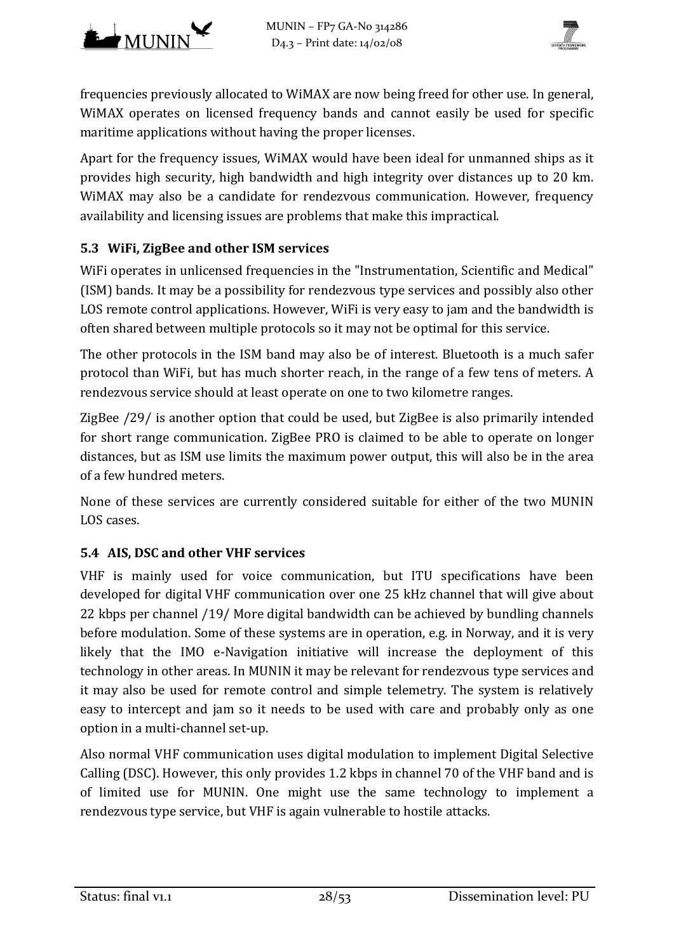

frequencies previously allocated to WiMAX are now being freed for other use. In general, WiMAX operates on licensed frequency bands and cannot easily be used for specific maritime applications without having the proper licenses.

Apart for the frequency issues, WiMAX would have been ideal for unmanned ships as it provides high security, high bandwidth and high integrity over distances up to 20 km. WiMAX may also be a candidate for rendezvous communication. However, frequency availability and licensing issues are problems that make this impractical.

## **5.3 WiFi, ZigBee and other ISM services**

WiFi operates in unlicensed frequencies in the "Instrumentation, Scientific and Medical" (ISM) bands. It may be a possibility for rendezvous type services and possibly also other LOS remote control applications. However, WiFi is very easy to jam and the bandwidth is often shared between multiple protocols so it may not be optimal for this service.

The other protocols in the ISM band may also be of interest. Bluetooth is a much safer protocol than WiFi, but has much shorter reach, in the range of a few tens of meters. A rendezvous service should at least operate on one to two kilometre ranges.

ZigBee [/29/ i](#page-52-0)s another option that could be used, but ZigBee is also primarily intended for short range communication. ZigBee PRO is claimed to be able to operate on longer distances, but as ISM use limits the maximum power output, this will also be in the area of a few hundred meters.

None of these services are currently considered suitable for either of the two MUNIN LOS cases.

#### **5.4 AIS, DSC and other VHF services**

VHF is mainly used for voice communication, but ITU specifications have been developed for digital VHF communication over one 25 kHz channel that will give about 22 kbps per channel [/19/ M](#page-51-7)ore digital bandwidth can be achieved by bundling channels before modulation. Some of these systems are in operation, e.g. in Norway, and it is very likely that the IMO e-Navigation initiative will increase the deployment of this technology in other areas. In MUNIN it may be relevant for rendezvous type services and it may also be used for remote control and simple telemetry. The system is relatively easy to intercept and jam so it needs to be used with care and probably only as one option in a multi-channel set-up.

Also normal VHF communication uses digital modulation to implement Digital Selective Calling (DSC). However, this only provides 1.2 kbps in channel 70 of the VHF band and is of limited use for MUNIN. One might use the same technology to implement a rendezvous type service, but VHF is again vulnerable to hostile attacks.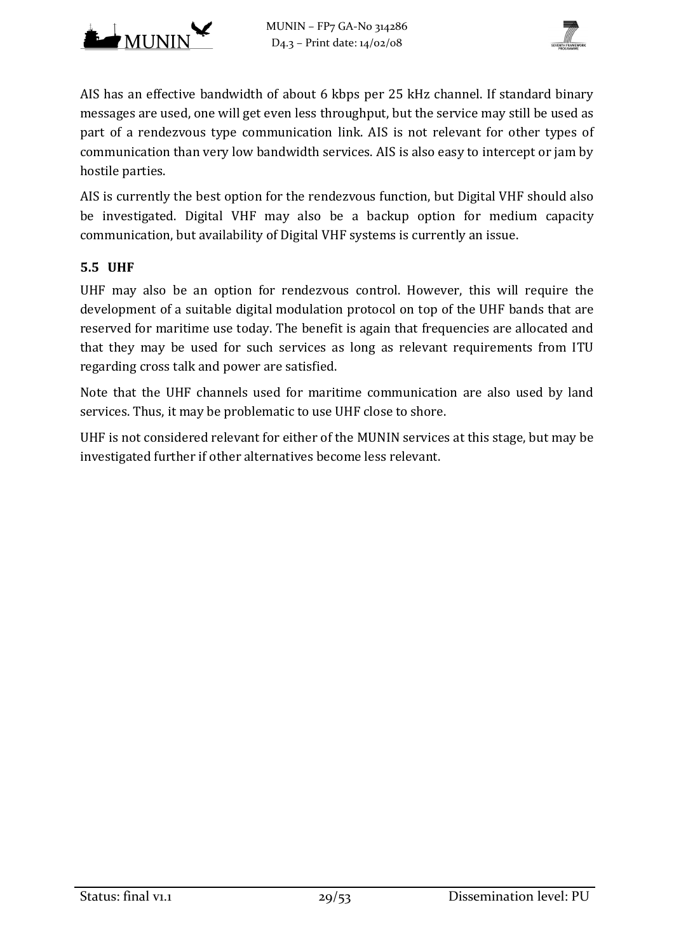



AIS has an effective bandwidth of about 6 kbps per 25 kHz channel. If standard binary messages are used, one will get even less throughput, but the service may still be used as part of a rendezvous type communication link. AIS is not relevant for other types of communication than very low bandwidth services. AIS is also easy to intercept or jam by hostile parties.

AIS is currently the best option for the rendezvous function, but Digital VHF should also be investigated. Digital VHF may also be a backup option for medium capacity communication, but availability of Digital VHF systems is currently an issue.

#### **5.5 UHF**

UHF may also be an option for rendezvous control. However, this will require the development of a suitable digital modulation protocol on top of the UHF bands that are reserved for maritime use today. The benefit is again that frequencies are allocated and that they may be used for such services as long as relevant requirements from ITU regarding cross talk and power are satisfied.

Note that the UHF channels used for maritime communication are also used by land services. Thus, it may be problematic to use UHF close to shore.

UHF is not considered relevant for either of the MUNIN services at this stage, but may be investigated further if other alternatives become less relevant.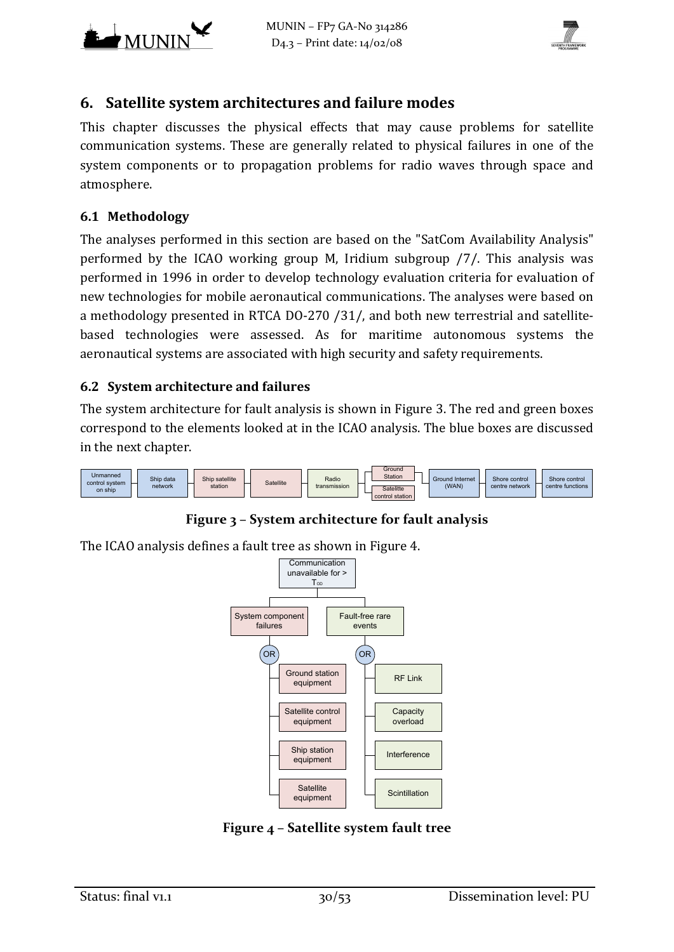



# <span id="page-29-0"></span>**6. Satellite system architectures and failure modes**

This chapter discusses the physical effects that may cause problems for satellite communication systems. These are generally related to physical failures in one of the system components or to propagation problems for radio waves through space and atmosphere.

#### **6.1 Methodology**

The analyses performed in this section are based on the "SatCom Availability Analysis" performed by the ICAO working group M, Iridium subgroup [/7/.](#page-50-5) This analysis was performed in 1996 in order to develop technology evaluation criteria for evaluation of new technologies for mobile aeronautical communications. The analyses were based on a methodology presented in RTCA DO-270 [/31/,](#page-52-1) and both new terrestrial and satellitebased technologies were assessed. As for maritime autonomous systems the aeronautical systems are associated with high security and safety requirements.

#### <span id="page-29-3"></span>**6.2 System architecture and failures**

The system architecture for fault analysis is shown in [Figure 3.](#page-29-1) The red and green boxes correspond to the elements looked at in the ICAO analysis. The blue boxes are discussed in the next chapter.



**Figure 3 – System architecture for fault analysis**

<span id="page-29-1"></span>The ICAO analysis defines a fault tree as shown in [Figure 4.](#page-29-2)



<span id="page-29-2"></span>**Figure 4 – Satellite system fault tree**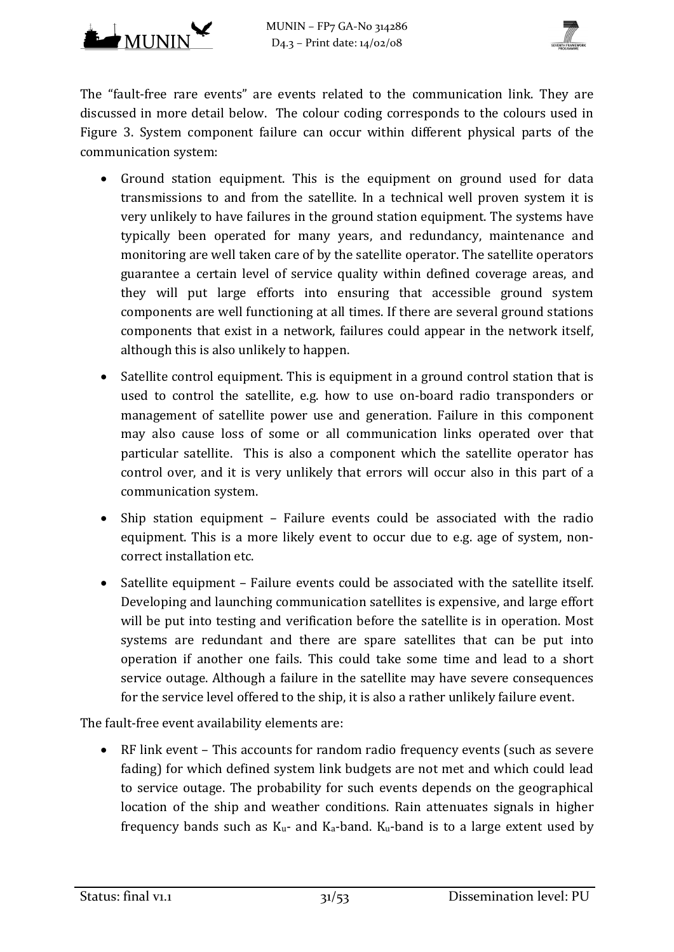



The "fault-free rare events" are events related to the communication link. They are discussed in more detail below. The colour coding corresponds to the colours used in [Figure 3.](#page-29-1) System component failure can occur within different physical parts of the communication system:

- Ground station equipment. This is the equipment on ground used for data transmissions to and from the satellite. In a technical well proven system it is very unlikely to have failures in the ground station equipment. The systems have typically been operated for many years, and redundancy, maintenance and monitoring are well taken care of by the satellite operator. The satellite operators guarantee a certain level of service quality within defined coverage areas, and they will put large efforts into ensuring that accessible ground system components are well functioning at all times. If there are several ground stations components that exist in a network, failures could appear in the network itself, although this is also unlikely to happen.
- Satellite control equipment. This is equipment in a ground control station that is used to control the satellite, e.g. how to use on-board radio transponders or management of satellite power use and generation. Failure in this component may also cause loss of some or all communication links operated over that particular satellite. This is also a component which the satellite operator has control over, and it is very unlikely that errors will occur also in this part of a communication system.
- Ship station equipment Failure events could be associated with the radio equipment. This is a more likely event to occur due to e.g. age of system, noncorrect installation etc.
- Satellite equipment Failure events could be associated with the satellite itself. Developing and launching communication satellites is expensive, and large effort will be put into testing and verification before the satellite is in operation. Most systems are redundant and there are spare satellites that can be put into operation if another one fails. This could take some time and lead to a short service outage. Although a failure in the satellite may have severe consequences for the service level offered to the ship, it is also a rather unlikely failure event.

The fault-free event availability elements are:

• RF link event – This accounts for random radio frequency events (such as severe fading) for which defined system link budgets are not met and which could lead to service outage. The probability for such events depends on the geographical location of the ship and weather conditions. Rain attenuates signals in higher frequency bands such as  $K_u$ - and  $K_a$ -band.  $K_u$ -band is to a large extent used by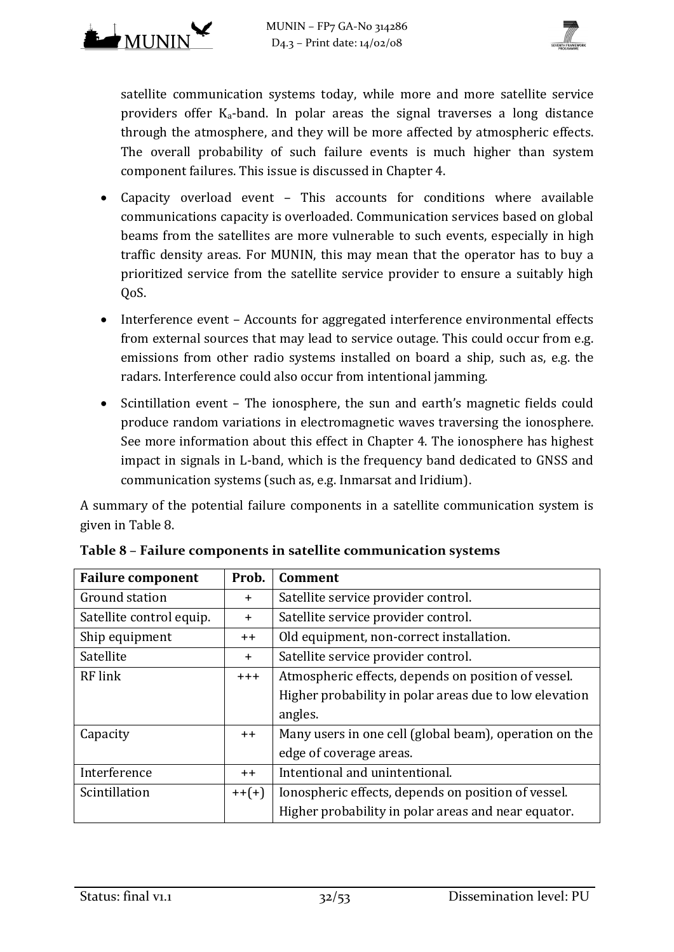

satellite communication systems today, while more and more satellite service providers offer  $K_a$ -band. In polar areas the signal traverses a long distance through the atmosphere, and they will be more affected by atmospheric effects. The overall probability of such failure events is much higher than system component failures. This issue is discussed in Chapte[r 4.](#page-20-0)

- Capacity overload event This accounts for conditions where available communications capacity is overloaded. Communication services based on global beams from the satellites are more vulnerable to such events, especially in high traffic density areas. For MUNIN, this may mean that the operator has to buy a prioritized service from the satellite service provider to ensure a suitably high QoS.
- Interference event Accounts for aggregated interference environmental effects from external sources that may lead to service outage. This could occur from e.g. emissions from other radio systems installed on board a ship, such as, e.g. the radars. Interference could also occur from intentional jamming.
- Scintillation event The ionosphere, the sun and earth's magnetic fields could produce random variations in electromagnetic waves traversing the ionosphere. See more information about this effect in Chapter [4.](#page-20-0) The ionosphere has highest impact in signals in L-band, which is the frequency band dedicated to GNSS and communication systems (such as, e.g. Inmarsat and Iridium).

A summary of the potential failure components in a satellite communication system is given in [Table 8.](#page-31-0)

| <b>Failure component</b>                               | Prob.   | <b>Comment</b>                                         |  |
|--------------------------------------------------------|---------|--------------------------------------------------------|--|
| Ground station                                         | $+$     | Satellite service provider control.                    |  |
| Satellite control equip.                               | $+$     | Satellite service provider control.                    |  |
| Ship equipment                                         | $++$    | Old equipment, non-correct installation.               |  |
| Satellite                                              | $+$     | Satellite service provider control.                    |  |
| RF link                                                | $+ + +$ | Atmospheric effects, depends on position of vessel.    |  |
|                                                        |         | Higher probability in polar areas due to low elevation |  |
|                                                        |         | angles.                                                |  |
| Capacity                                               | $++$    | Many users in one cell (global beam), operation on the |  |
|                                                        |         | edge of coverage areas.                                |  |
| Intentional and unintentional.<br>Interference<br>$++$ |         |                                                        |  |
| Scintillation<br>$++(+)$                               |         | Ionospheric effects, depends on position of vessel.    |  |
|                                                        |         | Higher probability in polar areas and near equator.    |  |

<span id="page-31-0"></span>**Table 8 – Failure components in satellite communication systems**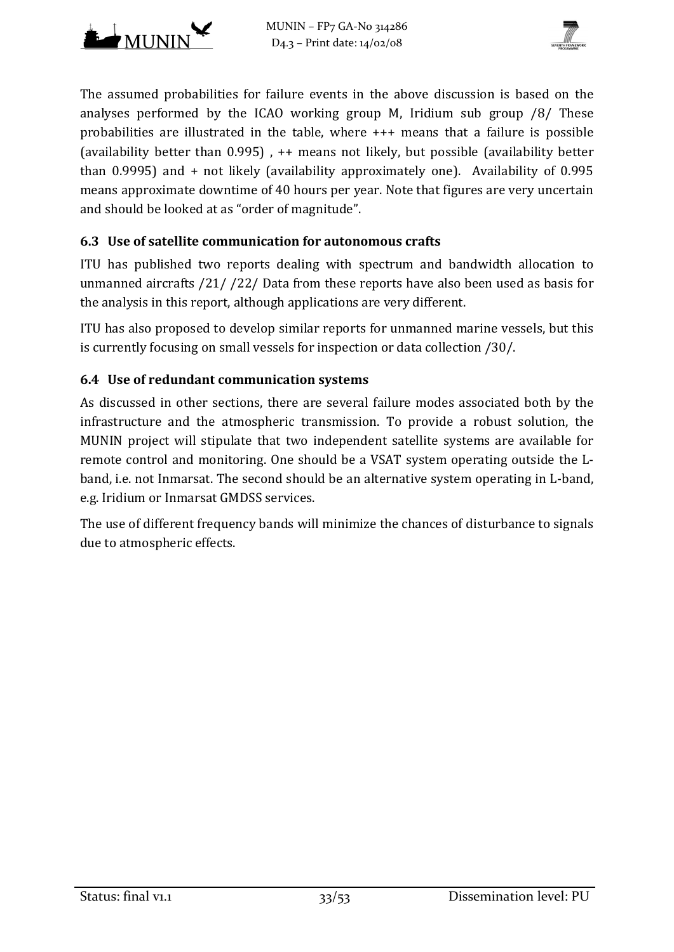



The assumed probabilities for failure events in the above discussion is based on the analyses performed by the ICAO working group M, Iridium sub group [/8/ T](#page-50-6)hese probabilities are illustrated in the table, where +++ means that a failure is possible (availability better than 0.995) , ++ means not likely, but possible (availability better than 0.9995) and + not likely (availability approximately one). Availability of 0.995 means approximate downtime of 40 hours per year. Note that figures are very uncertain and should be looked at as "order of magnitude".

## **6.3 Use of satellite communication for autonomous crafts**

ITU has published two reports dealing with spectrum and bandwidth allocation to unmanned aircrafts [/21/ /22/ D](#page-51-1)ata from these reports have also been used as basis for the analysis in this report, although applications are very different.

ITU has also proposed to develop similar reports for unmanned marine vessels, but this is currently focusing on small vessels for inspection or data collection [/30/.](#page-52-2)

## **6.4 Use of redundant communication systems**

As discussed in other sections, there are several failure modes associated both by the infrastructure and the atmospheric transmission. To provide a robust solution, the MUNIN project will stipulate that two independent satellite systems are available for remote control and monitoring. One should be a VSAT system operating outside the Lband, i.e. not Inmarsat. The second should be an alternative system operating in L-band, e.g. Iridium or Inmarsat GMDSS services.

The use of different frequency bands will minimize the chances of disturbance to signals due to atmospheric effects.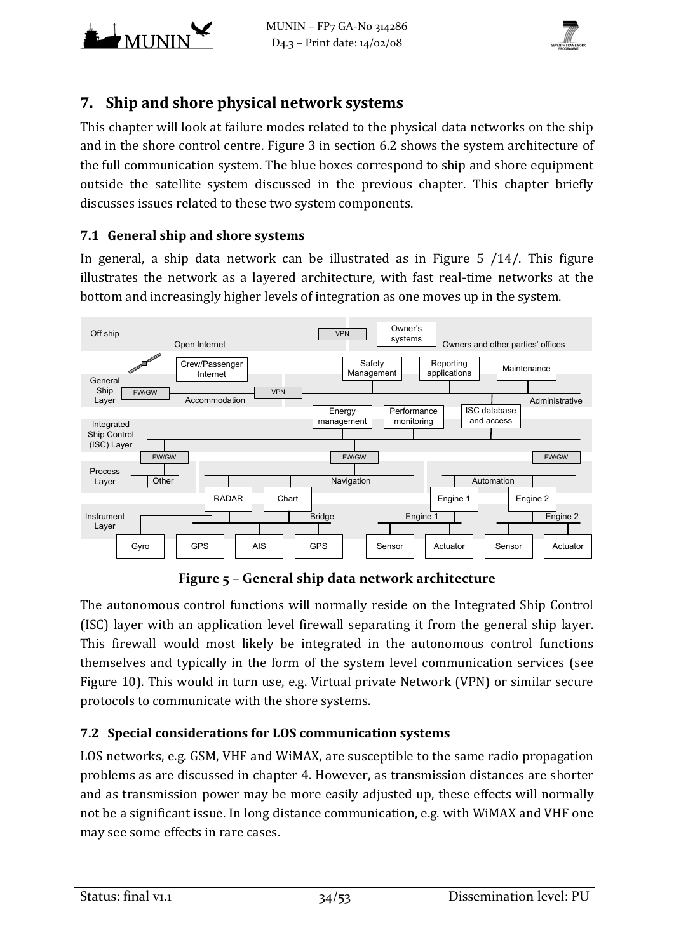



# **7. Ship and shore physical network systems**

This chapter will look at failure modes related to the physical data networks on the ship and in the shore control centre. [Figure 3](#page-29-1) in section [6.2](#page-29-3) shows the system architecture of the full communication system. The blue boxes correspond to ship and shore equipment outside the satellite system discussed in the previous chapter. This chapter briefly discusses issues related to these two system components.

#### **7.1 General ship and shore systems**

In general, a ship data network can be illustrated as in [Figure 5](#page-33-1) [/14/.](#page-51-8) This figure illustrates the network as a layered architecture, with fast real-time networks at the bottom and increasingly higher levels of integration as one moves up in the system.



**Figure 5 – General ship data network architecture**

<span id="page-33-1"></span>The autonomous control functions will normally reside on the Integrated Ship Control (ISC) layer with an application level firewall separating it from the general ship layer. This firewall would most likely be integrated in the autonomous control functions themselves and typically in the form of the system level communication services (see [Figure 10\)](#page-48-1). This would in turn use, e.g. Virtual private Network (VPN) or similar secure protocols to communicate with the shore systems.

## <span id="page-33-0"></span>**7.2 Special considerations for LOS communication systems**

LOS networks, e.g. GSM, VHF and WiMAX, are susceptible to the same radio propagation problems as are discussed in chapter [4.](#page-20-0) However, as transmission distances are shorter and as transmission power may be more easily adjusted up, these effects will normally not be a significant issue. In long distance communication, e.g. with WiMAX and VHF one may see some effects in rare cases.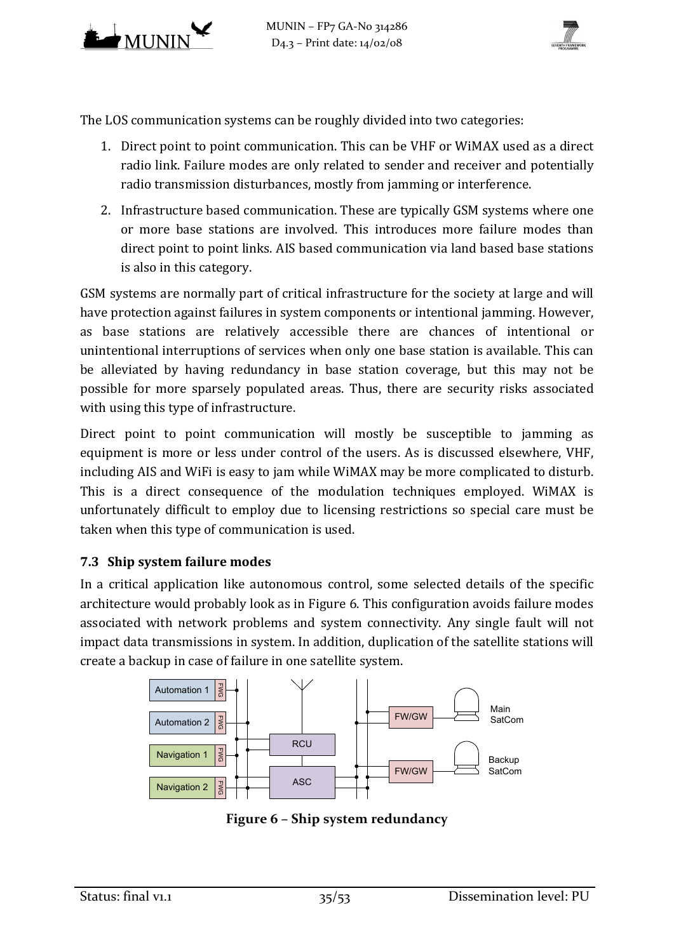



The LOS communication systems can be roughly divided into two categories:

- 1. Direct point to point communication. This can be VHF or WiMAX used as a direct radio link. Failure modes are only related to sender and receiver and potentially radio transmission disturbances, mostly from jamming or interference.
- 2. Infrastructure based communication. These are typically GSM systems where one or more base stations are involved. This introduces more failure modes than direct point to point links. AIS based communication via land based base stations is also in this category.

GSM systems are normally part of critical infrastructure for the society at large and will have protection against failures in system components or intentional jamming. However, as base stations are relatively accessible there are chances of intentional or unintentional interruptions of services when only one base station is available. This can be alleviated by having redundancy in base station coverage, but this may not be possible for more sparsely populated areas. Thus, there are security risks associated with using this type of infrastructure.

Direct point to point communication will mostly be susceptible to jamming as equipment is more or less under control of the users. As is discussed elsewhere, VHF, including AIS and WiFi is easy to jam while WiMAX may be more complicated to disturb. This is a direct consequence of the modulation techniques employed. WiMAX is unfortunately difficult to employ due to licensing restrictions so special care must be taken when this type of communication is used.

## **7.3 Ship system failure modes**

In a critical application like autonomous control, some selected details of the specific architecture would probably look as in [Figure 6.](#page-34-0) This configuration avoids failure modes associated with network problems and system connectivity. Any single fault will not impact data transmissions in system. In addition, duplication of the satellite stations will create a backup in case of failure in one satellite system.



<span id="page-34-0"></span>**Figure 6 – Ship system redundancy**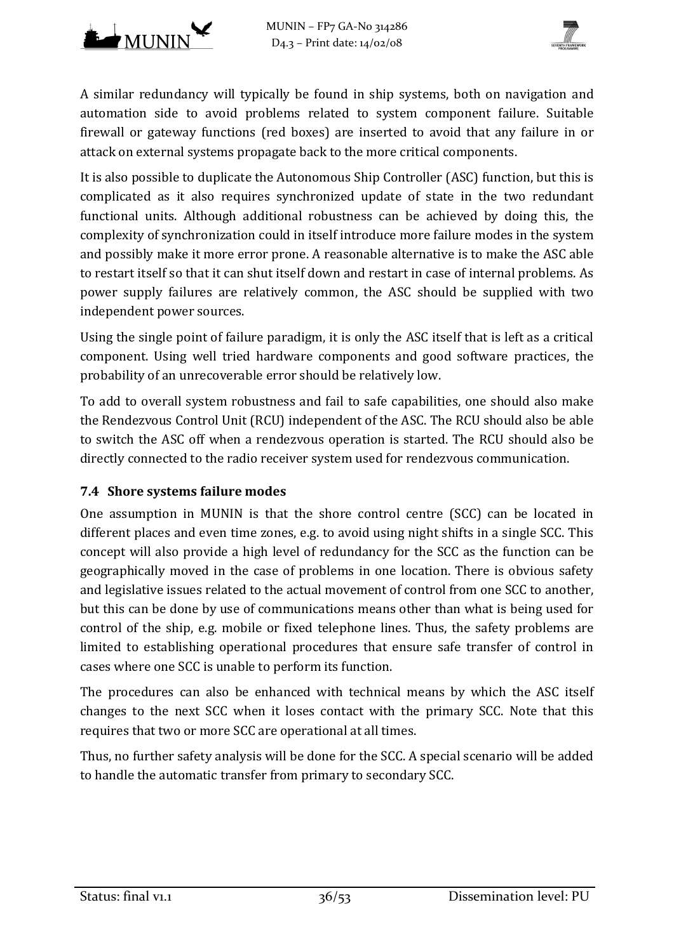



A similar redundancy will typically be found in ship systems, both on navigation and automation side to avoid problems related to system component failure. Suitable firewall or gateway functions (red boxes) are inserted to avoid that any failure in or attack on external systems propagate back to the more critical components.

It is also possible to duplicate the Autonomous Ship Controller (ASC) function, but this is complicated as it also requires synchronized update of state in the two redundant functional units. Although additional robustness can be achieved by doing this, the complexity of synchronization could in itself introduce more failure modes in the system and possibly make it more error prone. A reasonable alternative is to make the ASC able to restart itself so that it can shut itself down and restart in case of internal problems. As power supply failures are relatively common, the ASC should be supplied with two independent power sources.

Using the single point of failure paradigm, it is only the ASC itself that is left as a critical component. Using well tried hardware components and good software practices, the probability of an unrecoverable error should be relatively low.

To add to overall system robustness and fail to safe capabilities, one should also make the Rendezvous Control Unit (RCU) independent of the ASC. The RCU should also be able to switch the ASC off when a rendezvous operation is started. The RCU should also be directly connected to the radio receiver system used for rendezvous communication.

## <span id="page-35-0"></span>**7.4 Shore systems failure modes**

One assumption in MUNIN is that the shore control centre (SCC) can be located in different places and even time zones, e.g. to avoid using night shifts in a single SCC. This concept will also provide a high level of redundancy for the SCC as the function can be geographically moved in the case of problems in one location. There is obvious safety and legislative issues related to the actual movement of control from one SCC to another, but this can be done by use of communications means other than what is being used for control of the ship, e.g. mobile or fixed telephone lines. Thus, the safety problems are limited to establishing operational procedures that ensure safe transfer of control in cases where one SCC is unable to perform its function.

The procedures can also be enhanced with technical means by which the ASC itself changes to the next SCC when it loses contact with the primary SCC. Note that this requires that two or more SCC are operational at all times.

Thus, no further safety analysis will be done for the SCC. A special scenario will be added to handle the automatic transfer from primary to secondary SCC.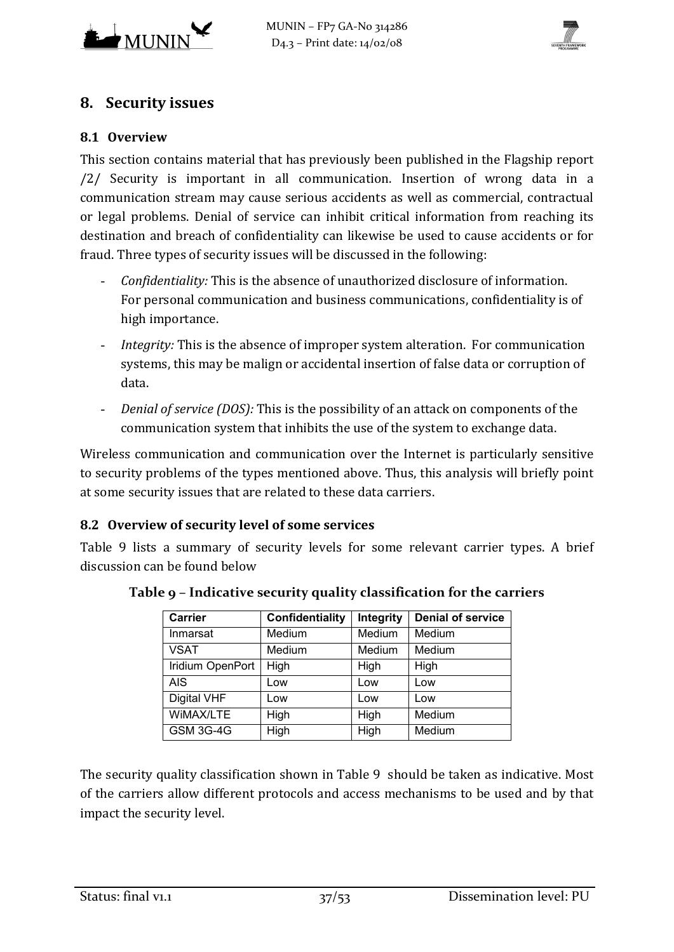



# **8. Security issues**

#### **8.1 Overview**

This section contains material that has previously been published in the Flagship report [/2/ S](#page-50-7)ecurity is important in all communication. Insertion of wrong data in a communication stream may cause serious accidents as well as commercial, contractual or legal problems. Denial of service can inhibit critical information from reaching its destination and breach of confidentiality can likewise be used to cause accidents or for fraud. Three types of security issues will be discussed in the following:

- *Confidentiality:* This is the absence of unauthorized disclosure of information. For personal communication and business communications, confidentiality is of high importance.
- *Integrity:* This is the absence of improper system alteration. For communication systems, this may be malign or accidental insertion of false data or corruption of data.
- *Denial of service (DOS):* This is the possibility of an attack on components of the communication system that inhibits the use of the system to exchange data.

Wireless communication and communication over the Internet is particularly sensitive to security problems of the types mentioned above. Thus, this analysis will briefly point at some security issues that are related to these data carriers.

## **8.2 Overview of security level of some services**

<span id="page-36-0"></span>[Table 9](#page-36-0) lists a summary of security levels for some relevant carrier types. A brief discussion can be found below

| <b>Carrier</b>   | Confidentiality | Integrity | <b>Denial of service</b> |
|------------------|-----------------|-----------|--------------------------|
| Inmarsat         | Medium          | Medium    | Medium                   |
| <b>VSAT</b>      | Medium          | Medium    | Medium                   |
| Iridium OpenPort | High            | High      | High                     |
| <b>AIS</b>       | Low             | Low       | Low                      |
| Digital VHF      | Low             | Low       | Low                      |
| WIMAX/LTE        | High            | High      | Medium                   |
| <b>GSM 3G-4G</b> | High            | High      | Medium                   |

**Table 9 – Indicative security quality classification for the carriers**

The security quality classification shown in [Table 9](#page-36-0) should be taken as indicative. Most of the carriers allow different protocols and access mechanisms to be used and by that impact the security level.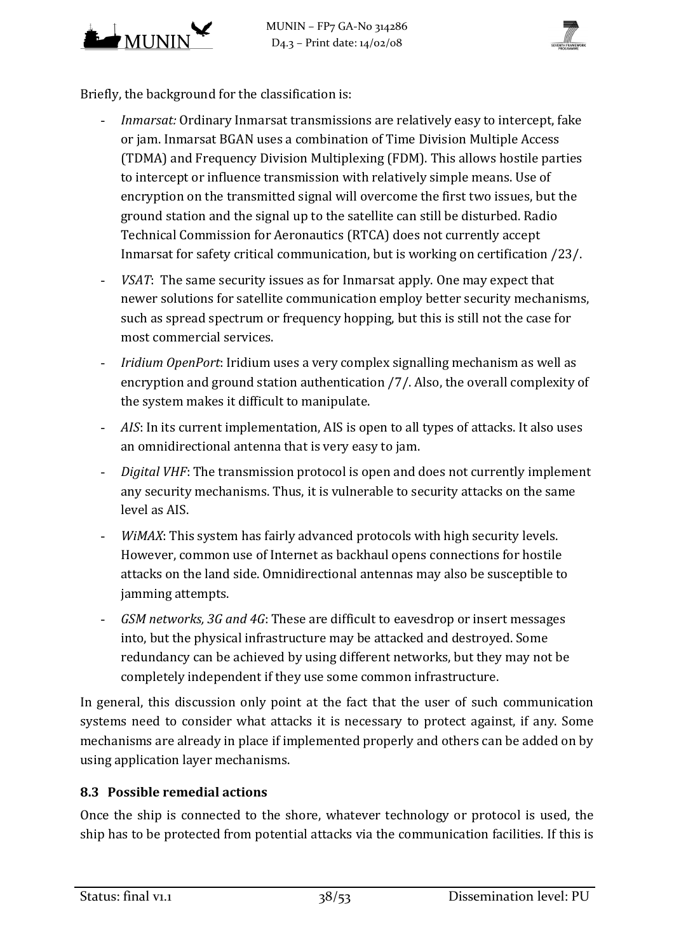



Briefly, the background for the classification is:

- *Inmarsat:* Ordinary Inmarsat transmissions are relatively easy to intercept, fake or jam. Inmarsat BGAN uses a combination of Time Division Multiple Access (TDMA) and Frequency Division Multiplexing (FDM). This allows hostile parties to intercept or influence transmission with relatively simple means. Use of encryption on the transmitted signal will overcome the first two issues, but the ground station and the signal up to the satellite can still be disturbed. Radio Technical Commission for Aeronautics (RTCA) does not currently accept Inmarsat for safety critical communication, but is working on certification [/23/.](#page-51-9)
- *VSAT*: The same security issues as for Inmarsat apply. One may expect that newer solutions for satellite communication employ better security mechanisms, such as spread spectrum or frequency hopping, but this is still not the case for most commercial services.
- *Iridium OpenPort*: Iridium uses a very complex signalling mechanism as well as encryption and ground station authentication [/7/.](#page-50-5) Also, the overall complexity of the system makes it difficult to manipulate.
- *AIS*: In its current implementation, AIS is open to all types of attacks. It also uses an omnidirectional antenna that is very easy to jam.
- *Digital VHF*: The transmission protocol is open and does not currently implement any security mechanisms. Thus, it is vulnerable to security attacks on the same level as AIS.
- *WiMAX*: This system has fairly advanced protocols with high security levels. However, common use of Internet as backhaul opens connections for hostile attacks on the land side. Omnidirectional antennas may also be susceptible to jamming attempts.
- *GSM networks, 3G and 4G*: These are difficult to eavesdrop or insert messages into, but the physical infrastructure may be attacked and destroyed. Some redundancy can be achieved by using different networks, but they may not be completely independent if they use some common infrastructure.

In general, this discussion only point at the fact that the user of such communication systems need to consider what attacks it is necessary to protect against, if any. Some mechanisms are already in place if implemented properly and others can be added on by using application layer mechanisms.

## **8.3 Possible remedial actions**

Once the ship is connected to the shore, whatever technology or protocol is used, the ship has to be protected from potential attacks via the communication facilities. If this is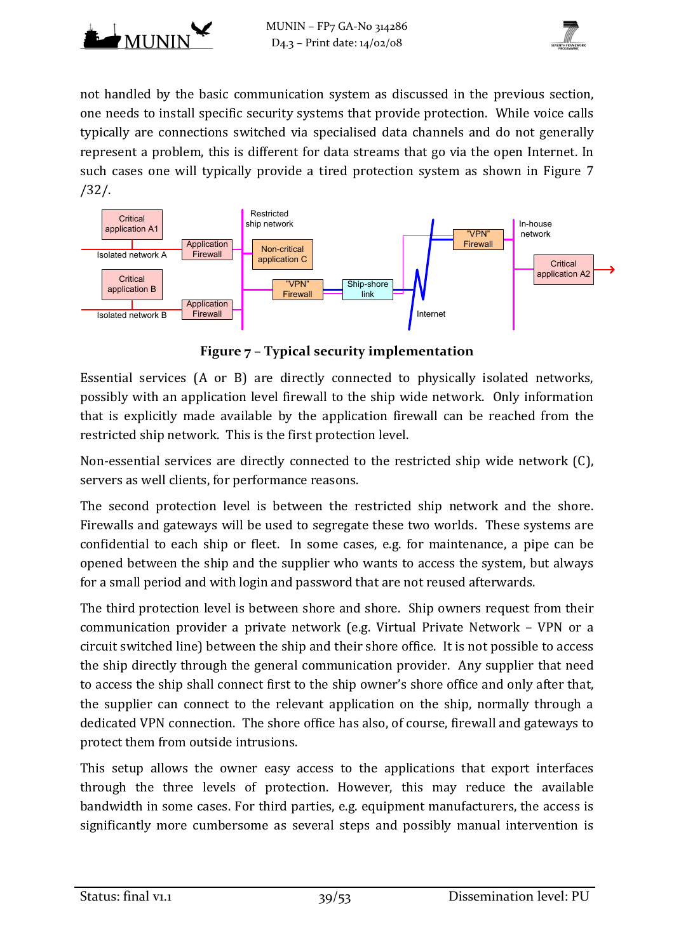



not handled by the basic communication system as discussed in the previous section, one needs to install specific security systems that provide protection. While voice calls typically are connections switched via specialised data channels and do not generally represent a problem, this is different for data streams that go via the open Internet. In such cases one will typically provide a tired protection system as shown in [Figure 7](#page-38-0) [/32/.](#page-52-3)



**Figure 7 – Typical security implementation**

<span id="page-38-0"></span>Essential services (A or B) are directly connected to physically isolated networks, possibly with an application level firewall to the ship wide network. Only information that is explicitly made available by the application firewall can be reached from the restricted ship network. This is the first protection level.

Non-essential services are directly connected to the restricted ship wide network (C), servers as well clients, for performance reasons.

The second protection level is between the restricted ship network and the shore. Firewalls and gateways will be used to segregate these two worlds. These systems are confidential to each ship or fleet. In some cases, e.g. for maintenance, a pipe can be opened between the ship and the supplier who wants to access the system, but always for a small period and with login and password that are not reused afterwards.

The third protection level is between shore and shore. Ship owners request from their communication provider a private network (e.g. Virtual Private Network – VPN or a circuit switched line) between the ship and their shore office. It is not possible to access the ship directly through the general communication provider. Any supplier that need to access the ship shall connect first to the ship owner's shore office and only after that, the supplier can connect to the relevant application on the ship, normally through a dedicated VPN connection. The shore office has also, of course, firewall and gateways to protect them from outside intrusions.

This setup allows the owner easy access to the applications that export interfaces through the three levels of protection. However, this may reduce the available bandwidth in some cases. For third parties, e.g. equipment manufacturers, the access is significantly more cumbersome as several steps and possibly manual intervention is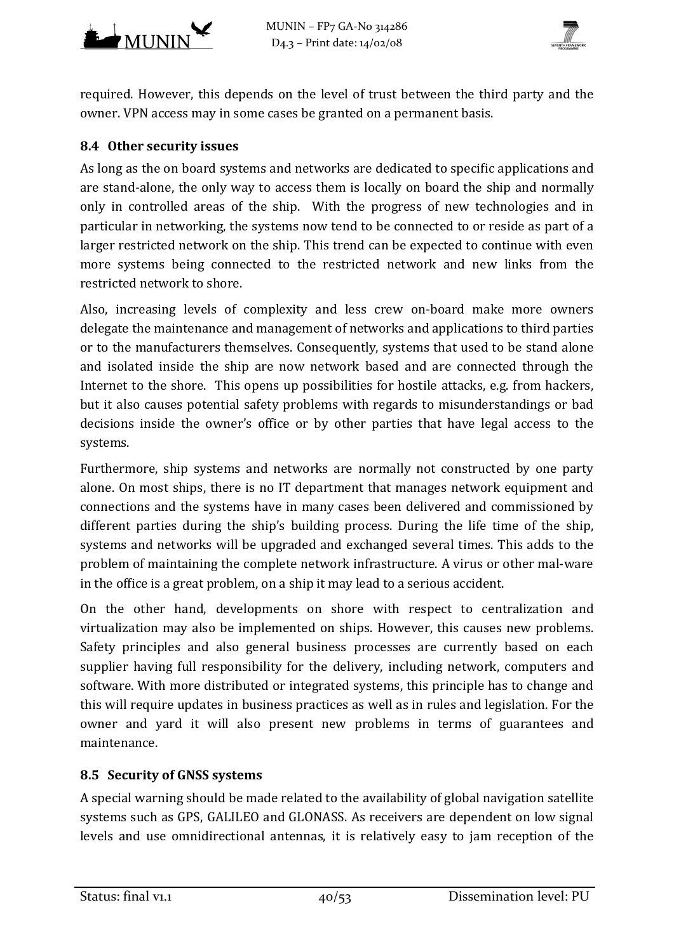



required. However, this depends on the level of trust between the third party and the owner. VPN access may in some cases be granted on a permanent basis.

#### **8.4 Other security issues**

As long as the on board systems and networks are dedicated to specific applications and are stand-alone, the only way to access them is locally on board the ship and normally only in controlled areas of the ship. With the progress of new technologies and in particular in networking, the systems now tend to be connected to or reside as part of a larger restricted network on the ship. This trend can be expected to continue with even more systems being connected to the restricted network and new links from the restricted network to shore.

Also, increasing levels of complexity and less crew on-board make more owners delegate the maintenance and management of networks and applications to third parties or to the manufacturers themselves. Consequently, systems that used to be stand alone and isolated inside the ship are now network based and are connected through the Internet to the shore. This opens up possibilities for hostile attacks, e.g. from hackers, but it also causes potential safety problems with regards to misunderstandings or bad decisions inside the owner's office or by other parties that have legal access to the systems.

Furthermore, ship systems and networks are normally not constructed by one party alone. On most ships, there is no IT department that manages network equipment and connections and the systems have in many cases been delivered and commissioned by different parties during the ship's building process. During the life time of the ship, systems and networks will be upgraded and exchanged several times. This adds to the problem of maintaining the complete network infrastructure. A virus or other mal-ware in the office is a great problem, on a ship it may lead to a serious accident.

On the other hand, developments on shore with respect to centralization and virtualization may also be implemented on ships. However, this causes new problems. Safety principles and also general business processes are currently based on each supplier having full responsibility for the delivery, including network, computers and software. With more distributed or integrated systems, this principle has to change and this will require updates in business practices as well as in rules and legislation. For the owner and yard it will also present new problems in terms of guarantees and maintenance.

#### **8.5 Security of GNSS systems**

A special warning should be made related to the availability of global navigation satellite systems such as GPS, GALILEO and GLONASS. As receivers are dependent on low signal levels and use omnidirectional antennas, it is relatively easy to jam reception of the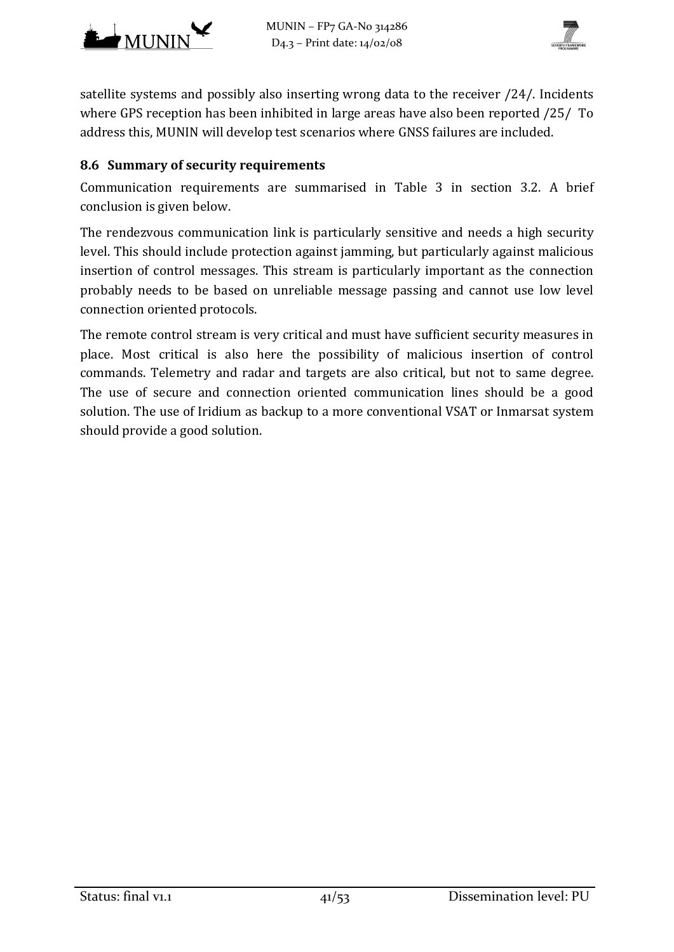



satellite systems and possibly also inserting wrong data to the receiver [/24/.](#page-51-10) Incidents where GPS reception has been inhibited in large areas have also been reported [/25/](#page-51-11) To address this, MUNIN will develop test scenarios where GNSS failures are included.

#### **8.6 Summary of security requirements**

Communication requirements are summarised in [Table 3](#page-14-1) in section [3.2.](#page-13-2) A brief conclusion is given below.

The rendezvous communication link is particularly sensitive and needs a high security level. This should include protection against jamming, but particularly against malicious insertion of control messages. This stream is particularly important as the connection probably needs to be based on unreliable message passing and cannot use low level connection oriented protocols.

The remote control stream is very critical and must have sufficient security measures in place. Most critical is also here the possibility of malicious insertion of control commands. Telemetry and radar and targets are also critical, but not to same degree. The use of secure and connection oriented communication lines should be a good solution. The use of Iridium as backup to a more conventional VSAT or Inmarsat system should provide a good solution.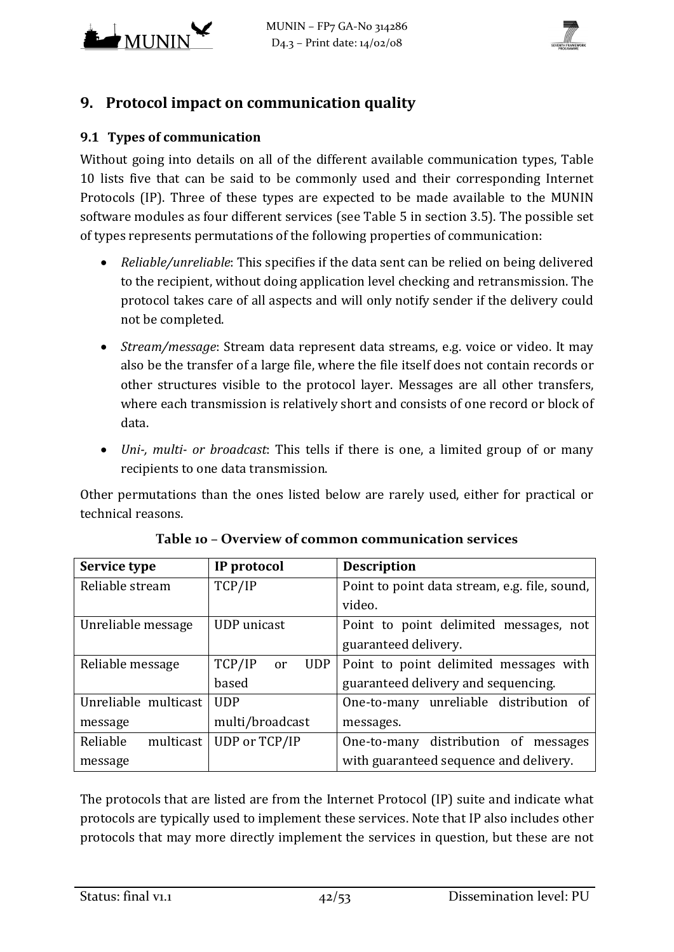



# **9. Protocol impact on communication quality**

#### <span id="page-41-0"></span>**9.1 Types of communication**

Without going into details on all of the different available communication types, [Table](#page-41-1)  [10](#page-41-1) lists five that can be said to be commonly used and their corresponding Internet Protocols (IP). Three of these types are expected to be made available to the MUNIN software modules as four different services (see [Table 5](#page-17-1) in section [3.5\)](#page-17-2). The possible set of types represents permutations of the following properties of communication:

- *Reliable/unreliable*: This specifies if the data sent can be relied on being delivered to the recipient, without doing application level checking and retransmission. The protocol takes care of all aspects and will only notify sender if the delivery could not be completed.
- *Stream/message*: Stream data represent data streams, e.g. voice or video. It may also be the transfer of a large file, where the file itself does not contain records or other structures visible to the protocol layer. Messages are all other transfers, where each transmission is relatively short and consists of one record or block of data.
- *Uni-, multi- or broadcast*: This tells if there is one, a limited group of or many recipients to one data transmission.

Other permutations than the ones listed below are rarely used, either for practical or technical reasons.

<span id="page-41-1"></span>

| Service type          | IP protocol                | <b>Description</b>                            |  |  |
|-----------------------|----------------------------|-----------------------------------------------|--|--|
| Reliable stream       | TCP/IP                     | Point to point data stream, e.g. file, sound, |  |  |
|                       |                            | video.                                        |  |  |
| Unreliable message    | UDP unicast                | Point to point delimited messages, not        |  |  |
|                       |                            | guaranteed delivery.                          |  |  |
| Reliable message      | TCP/IP<br><b>UDP</b><br>or | Point to point delimited messages with        |  |  |
|                       | based                      | guaranteed delivery and sequencing.           |  |  |
| Unreliable multicast  | <b>UDP</b>                 | One-to-many unreliable distribution of        |  |  |
| message               | multi/broadcast            | messages.                                     |  |  |
| Reliable<br>multicast | UDP or TCP/IP              | One-to-many distribution of messages          |  |  |
| message               |                            | with guaranteed sequence and delivery.        |  |  |

|  |  | Table 10 - Overview of common communication services |  |
|--|--|------------------------------------------------------|--|
|  |  |                                                      |  |

The protocols that are listed are from the Internet Protocol (IP) suite and indicate what protocols are typically used to implement these services. Note that IP also includes other protocols that may more directly implement the services in question, but these are not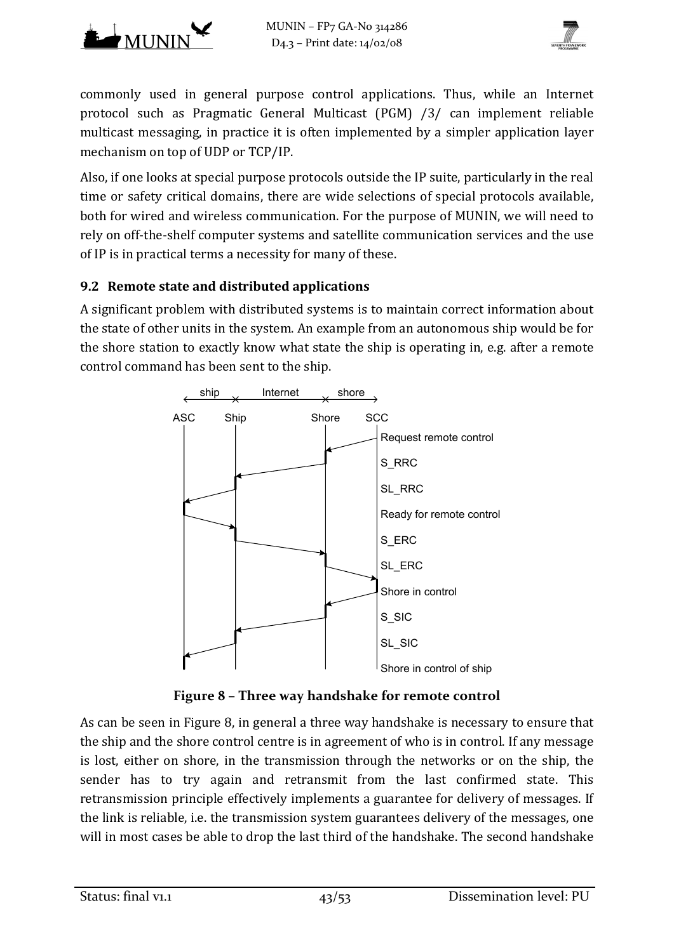



commonly used in general purpose control applications. Thus, while an Internet protocol such as Pragmatic General Multicast (PGM) [/3/ c](#page-50-8)an implement reliable multicast messaging, in practice it is often implemented by a simpler application layer mechanism on top of UDP or TCP/IP.

Also, if one looks at special purpose protocols outside the IP suite, particularly in the real time or safety critical domains, there are wide selections of special protocols available, both for wired and wireless communication. For the purpose of MUNIN, we will need to rely on off-the-shelf computer systems and satellite communication services and the use of IP is in practical terms a necessity for many of these.

## **9.2 Remote state and distributed applications**

A significant problem with distributed systems is to maintain correct information about the state of other units in the system. An example from an autonomous ship would be for the shore station to exactly know what state the ship is operating in, e.g. after a remote control command has been sent to the ship.



**Figure 8 – Three way handshake for remote control**

<span id="page-42-0"></span>As can be seen in [Figure 8,](#page-42-0) in general a three way handshake is necessary to ensure that the ship and the shore control centre is in agreement of who is in control. If any message is lost, either on shore, in the transmission through the networks or on the ship, the sender has to try again and retransmit from the last confirmed state. This retransmission principle effectively implements a guarantee for delivery of messages. If the link is reliable, i.e. the transmission system guarantees delivery of the messages, one will in most cases be able to drop the last third of the handshake. The second handshake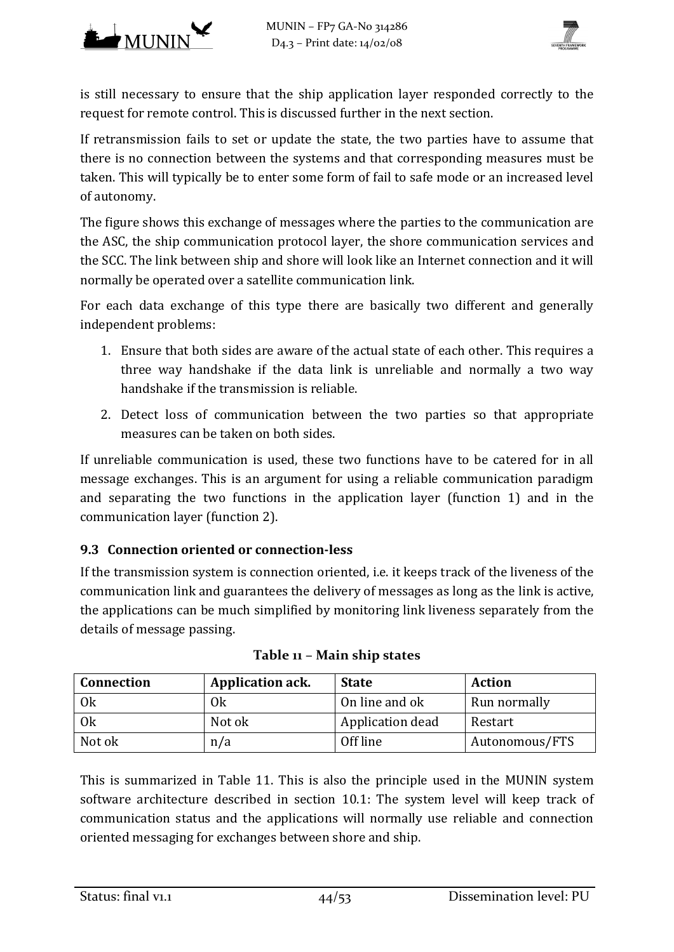



is still necessary to ensure that the ship application layer responded correctly to the request for remote control. This is discussed further in the next section.

If retransmission fails to set or update the state, the two parties have to assume that there is no connection between the systems and that corresponding measures must be taken. This will typically be to enter some form of fail to safe mode or an increased level of autonomy.

The figure shows this exchange of messages where the parties to the communication are the ASC, the ship communication protocol layer, the shore communication services and the SCC. The link between ship and shore will look like an Internet connection and it will normally be operated over a satellite communication link.

For each data exchange of this type there are basically two different and generally independent problems:

- 1. Ensure that both sides are aware of the actual state of each other. This requires a three way handshake if the data link is unreliable and normally a two way handshake if the transmission is reliable.
- 2. Detect loss of communication between the two parties so that appropriate measures can be taken on both sides.

If unreliable communication is used, these two functions have to be catered for in all message exchanges. This is an argument for using a reliable communication paradigm and separating the two functions in the application layer (function 1) and in the communication layer (function 2).

## **9.3 Connection oriented or connection-less**

If the transmission system is connection oriented, i.e. it keeps track of the liveness of the communication link and guarantees the delivery of messages as long as the link is active, the applications can be much simplified by monitoring link liveness separately from the details of message passing.

<span id="page-43-0"></span>

| <b>Connection</b> | <b>Application ack.</b> | <b>State</b>     | <b>Action</b>  |
|-------------------|-------------------------|------------------|----------------|
| 0k                | 0k                      | On line and ok   | Run normally   |
| 0k                | Not ok                  | Application dead | Restart        |
| Not ok            | n/a                     | Off line         | Autonomous/FTS |

This is summarized in [Table 11.](#page-43-0) This is also the principle used in the MUNIN system software architecture described in section [10.1:](#page-48-2) The system level will keep track of communication status and the applications will normally use reliable and connection oriented messaging for exchanges between shore and ship.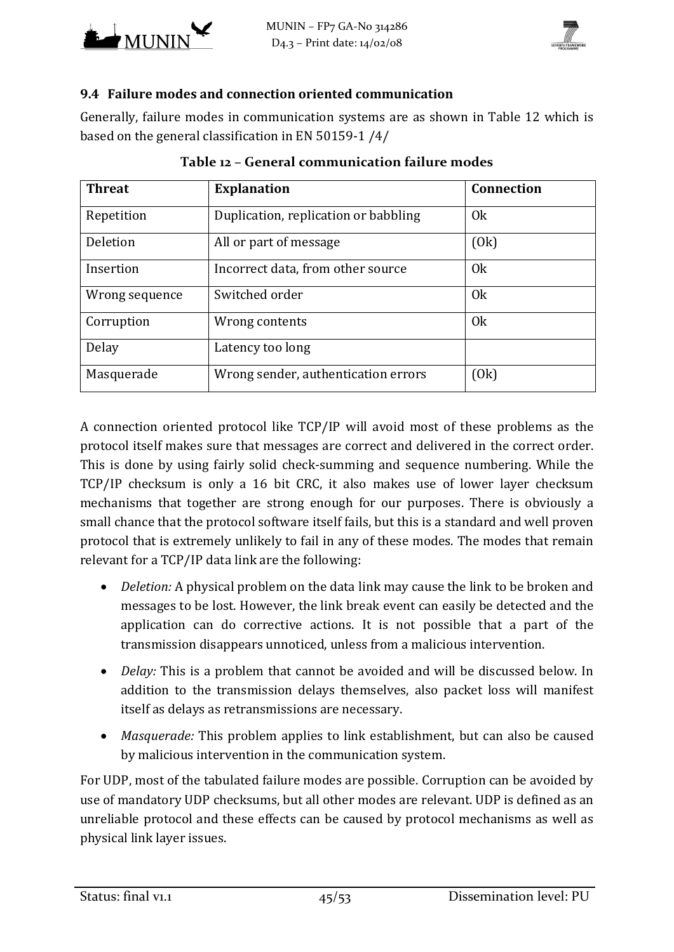



#### **9.4 Failure modes and connection oriented communication**

Generally, failure modes in communication systems are as shown in [Table 12](#page-44-0) which is based on the general classification in EN 50159-1 [/4/](#page-50-9) 

<span id="page-44-0"></span>

| <b>Threat</b>  | <b>Explanation</b>                   | <b>Connection</b> |
|----------------|--------------------------------------|-------------------|
| Repetition     | Duplication, replication or babbling | 0 <sub>k</sub>    |
| Deletion       | All or part of message               | (0k)              |
| Insertion      | Incorrect data, from other source    | 0 <sub>k</sub>    |
| Wrong sequence | Switched order                       | 0 <sub>k</sub>    |
| Corruption     | Wrong contents                       | 0 <sub>k</sub>    |
| Delay          | Latency too long                     |                   |
| Masquerade     | Wrong sender, authentication errors  | (0k)              |

|  | Table 12 - General communication failure modes |  |
|--|------------------------------------------------|--|
|  |                                                |  |

A connection oriented protocol like TCP/IP will avoid most of these problems as the protocol itself makes sure that messages are correct and delivered in the correct order. This is done by using fairly solid check-summing and sequence numbering. While the TCP/IP checksum is only a 16 bit CRC, it also makes use of lower layer checksum mechanisms that together are strong enough for our purposes. There is obviously a small chance that the protocol software itself fails, but this is a standard and well proven protocol that is extremely unlikely to fail in any of these modes. The modes that remain relevant for a TCP/IP data link are the following:

- *Deletion:* A physical problem on the data link may cause the link to be broken and messages to be lost. However, the link break event can easily be detected and the application can do corrective actions. It is not possible that a part of the transmission disappears unnoticed, unless from a malicious intervention.
- *Delay:* This is a problem that cannot be avoided and will be discussed below. In addition to the transmission delays themselves, also packet loss will manifest itself as delays as retransmissions are necessary.
- *Masquerade:* This problem applies to link establishment, but can also be caused by malicious intervention in the communication system.

For UDP, most of the tabulated failure modes are possible. Corruption can be avoided by use of mandatory UDP checksums, but all other modes are relevant. UDP is defined as an unreliable protocol and these effects can be caused by protocol mechanisms as well as physical link layer issues.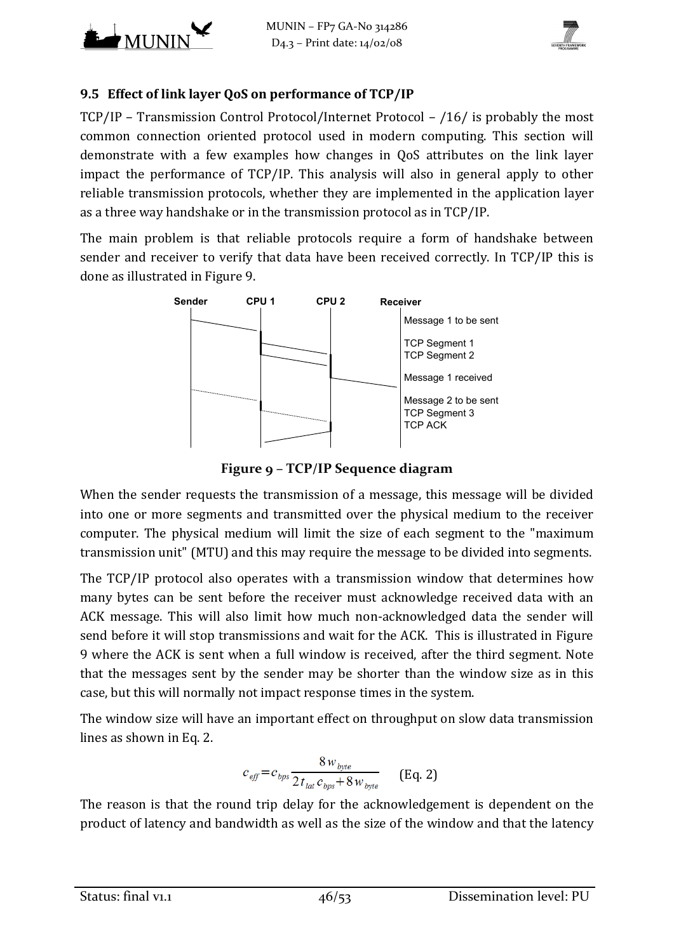



## <span id="page-45-0"></span>**9.5 Effect of link layer QoS on performance of TCP/IP**

TCP/IP – Transmission Control Protocol/Internet Protocol – [/16/ i](#page-51-12)s probably the most common connection oriented protocol used in modern computing. This section will demonstrate with a few examples how changes in QoS attributes on the link layer impact the performance of TCP/IP. This analysis will also in general apply to other reliable transmission protocols, whether they are implemented in the application layer as a three way handshake or in the transmission protocol as in TCP/IP.

The main problem is that reliable protocols require a form of handshake between sender and receiver to verify that data have been received correctly. In TCP/IP this is done as illustrated in [Figure 9.](#page-45-1)



**Figure 9 – TCP/IP Sequence diagram**

<span id="page-45-1"></span>When the sender requests the transmission of a message, this message will be divided into one or more segments and transmitted over the physical medium to the receiver computer. The physical medium will limit the size of each segment to the "maximum transmission unit" (MTU) and this may require the message to be divided into segments.

The TCP/IP protocol also operates with a transmission window that determines how many bytes can be sent before the receiver must acknowledge received data with an ACK message. This will also limit how much non-acknowledged data the sender will send before it will stop transmissions and wait for the ACK. This is illustrated in [Figure](#page-45-1)  [9](#page-45-1) where the ACK is sent when a full window is received, after the third segment. Note that the messages sent by the sender may be shorter than the window size as in this case, but this will normally not impact response times in the system.

The window size will have an important effect on throughput on slow data transmission lines as shown in Eq. 2.

$$
c_{\text{eff}} = c_{\text{bps}} \frac{8 w_{\text{byte}}}{2 t_{\text{lat}} c_{\text{bps}} + 8 w_{\text{byte}}}
$$
 (Eq. 2)

The reason is that the round trip delay for the acknowledgement is dependent on the product of latency and bandwidth as well as the size of the window and that the latency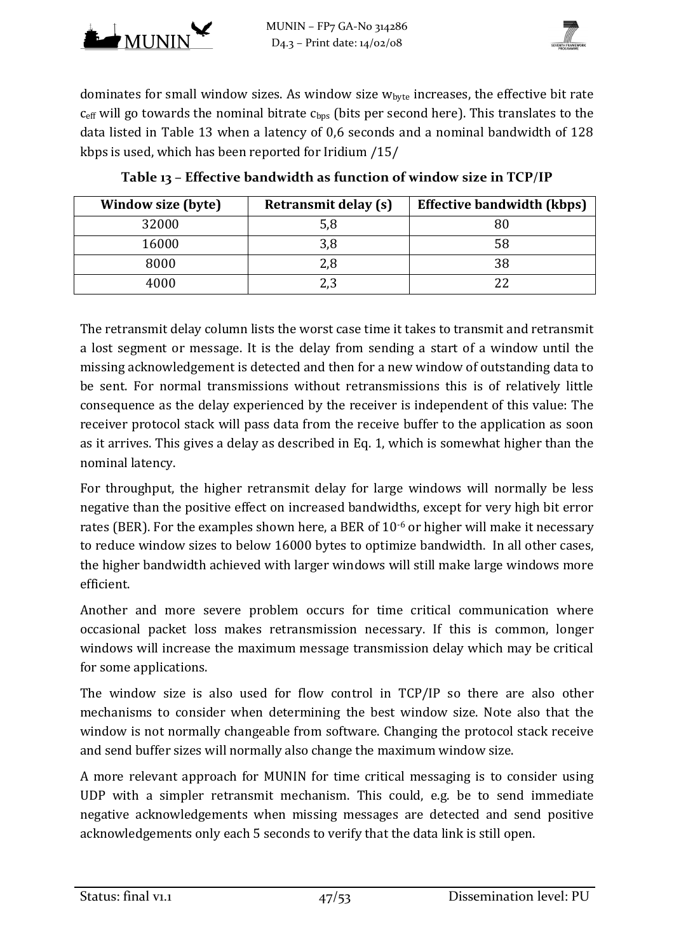



dominates for small window sizes. As window size  $w_{\text{byte}}$  increases, the effective bit rate  $c_{\text{eff}}$  will go towards the nominal bitrate  $c_{\text{bus}}$  (bits per second here). This translates to the data listed in [Table 13](#page-46-0) when a latency of 0,6 seconds and a nominal bandwidth of 128 kbps is used, which has been reported for Iridium [/15/](#page-51-0) 

<span id="page-46-0"></span>

| Window size (byte) | <b>Retransmit delay (s)</b> | <b>Effective bandwidth (kbps)</b> |
|--------------------|-----------------------------|-----------------------------------|
| 32000              | 5,8                         |                                   |
| 16000              | 3,8                         | 58                                |
| 8000               | 2,8                         |                                   |
| 4000               | 2,3                         |                                   |

**Table 13 – Effective bandwidth as function of window size in TCP/IP**

The retransmit delay column lists the worst case time it takes to transmit and retransmit a lost segment or message. It is the delay from sending a start of a window until the missing acknowledgement is detected and then for a new window of outstanding data to be sent. For normal transmissions without retransmissions this is of relatively little consequence as the delay experienced by the receiver is independent of this value: The receiver protocol stack will pass data from the receive buffer to the application as soon as it arrives. This gives a delay as described in Eq. 1, which is somewhat higher than the nominal latency.

For throughput, the higher retransmit delay for large windows will normally be less negative than the positive effect on increased bandwidths, except for very high bit error rates (BER). For the examples shown here, a BER of  $10^{-6}$  or higher will make it necessary to reduce window sizes to below 16000 bytes to optimize bandwidth. In all other cases, the higher bandwidth achieved with larger windows will still make large windows more efficient.

Another and more severe problem occurs for time critical communication where occasional packet loss makes retransmission necessary. If this is common, longer windows will increase the maximum message transmission delay which may be critical for some applications.

The window size is also used for flow control in TCP/IP so there are also other mechanisms to consider when determining the best window size. Note also that the window is not normally changeable from software. Changing the protocol stack receive and send buffer sizes will normally also change the maximum window size.

A more relevant approach for MUNIN for time critical messaging is to consider using UDP with a simpler retransmit mechanism. This could, e.g. be to send immediate negative acknowledgements when missing messages are detected and send positive acknowledgements only each 5 seconds to verify that the data link is still open.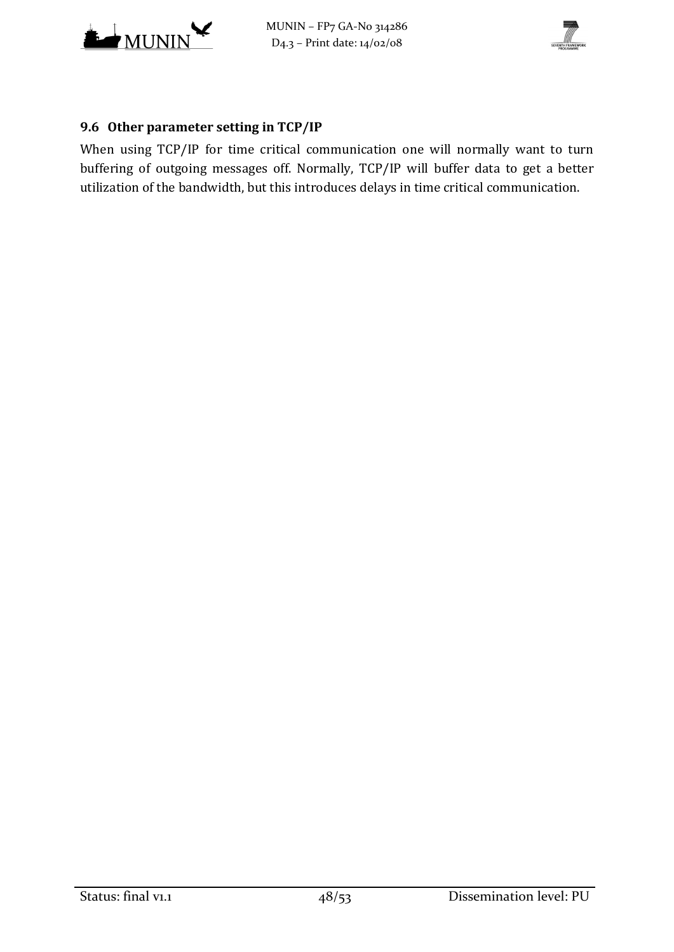



## **9.6 Other parameter setting in TCP/IP**

When using TCP/IP for time critical communication one will normally want to turn buffering of outgoing messages off. Normally, TCP/IP will buffer data to get a better utilization of the bandwidth, but this introduces delays in time critical communication.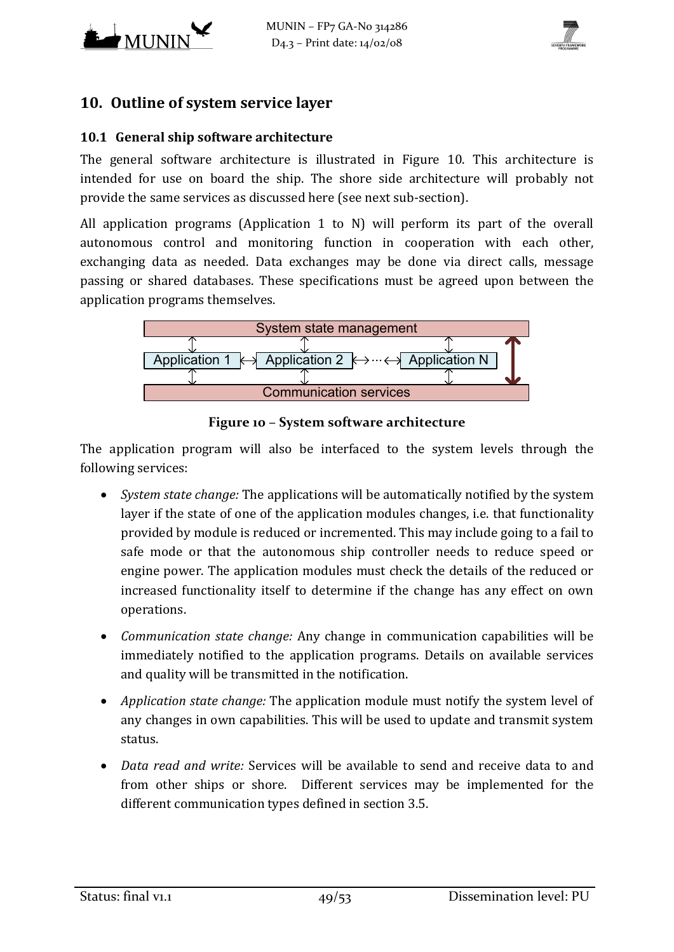



## <span id="page-48-0"></span>**10. Outline of system service layer**

#### <span id="page-48-2"></span>**10.1 General ship software architecture**

The general software architecture is illustrated in [Figure 10.](#page-48-1) This architecture is intended for use on board the ship. The shore side architecture will probably not provide the same services as discussed here (see next sub-section).

All application programs (Application 1 to N) will perform its part of the overall autonomous control and monitoring function in cooperation with each other, exchanging data as needed. Data exchanges may be done via direct calls, message passing or shared databases. These specifications must be agreed upon between the application programs themselves.



**Figure 10 – System software architecture**

<span id="page-48-1"></span>The application program will also be interfaced to the system levels through the following services:

- *System state change:* The applications will be automatically notified by the system layer if the state of one of the application modules changes, i.e. that functionality provided by module is reduced or incremented. This may include going to a fail to safe mode or that the autonomous ship controller needs to reduce speed or engine power. The application modules must check the details of the reduced or increased functionality itself to determine if the change has any effect on own operations.
- *Communication state change:* Any change in communication capabilities will be immediately notified to the application programs. Details on available services and quality will be transmitted in the notification.
- *Application state change:* The application module must notify the system level of any changes in own capabilities. This will be used to update and transmit system status.
- *Data read and write:* Services will be available to send and receive data to and from other ships or shore. Different services may be implemented for the different communication types defined in section [3.5.](#page-17-2)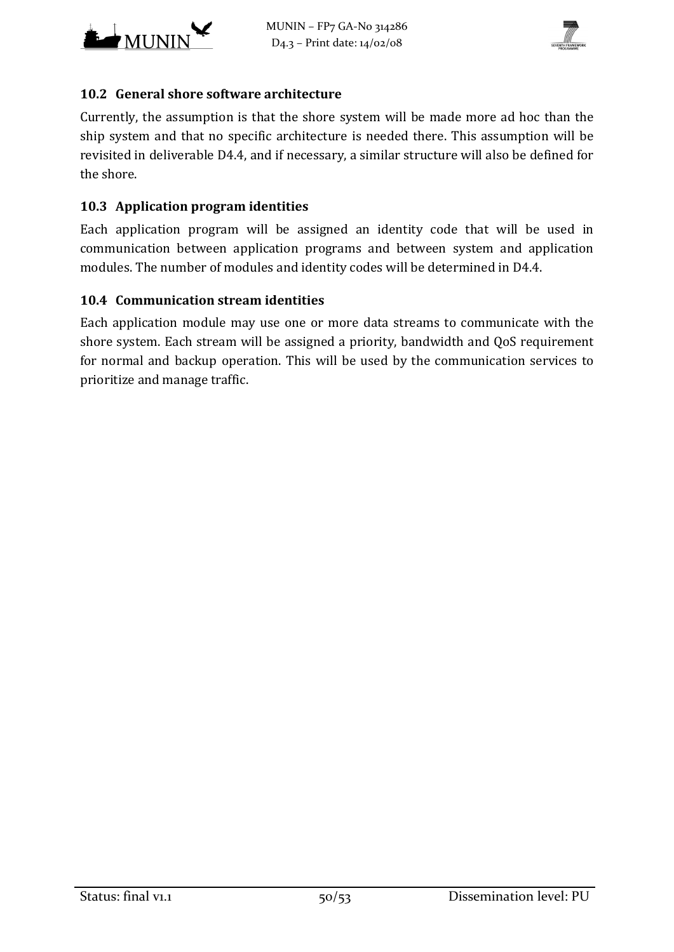



#### **10.2 General shore software architecture**

Currently, the assumption is that the shore system will be made more ad hoc than the ship system and that no specific architecture is needed there. This assumption will be revisited in deliverable D4.4, and if necessary, a similar structure will also be defined for the shore.

## **10.3 Application program identities**

Each application program will be assigned an identity code that will be used in communication between application programs and between system and application modules. The number of modules and identity codes will be determined in D4.4.

## **10.4 Communication stream identities**

Each application module may use one or more data streams to communicate with the shore system. Each stream will be assigned a priority, bandwidth and QoS requirement for normal and backup operation. This will be used by the communication services to prioritize and manage traffic.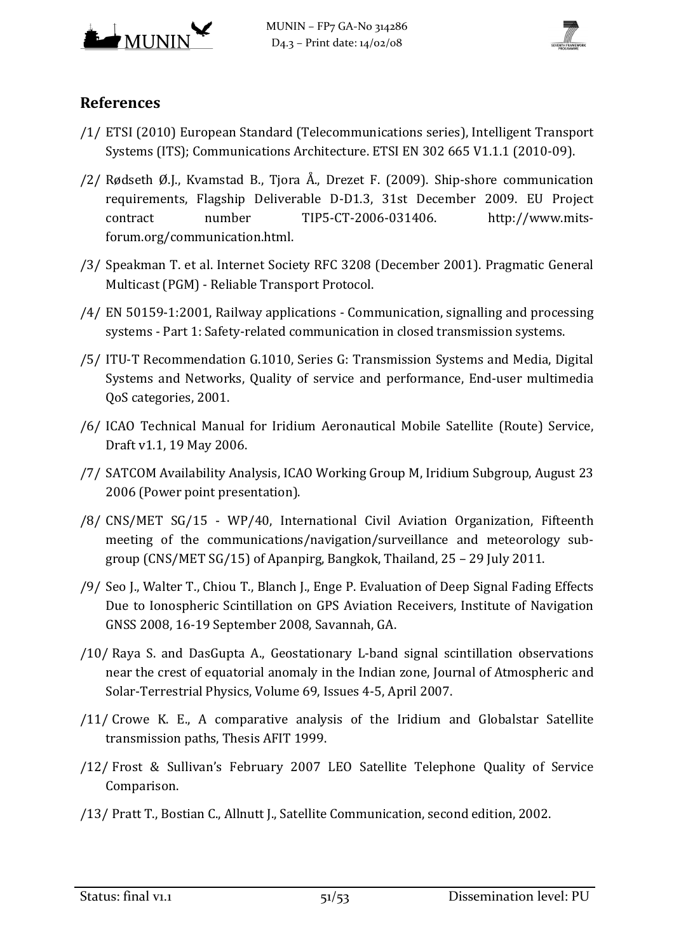



# **References**

- /1/ ETSI (2010) European Standard (Telecommunications series), Intelligent Transport Systems (ITS); Communications Architecture. ETSI EN 302 665 V1.1.1 (2010-09).
- <span id="page-50-7"></span>/2/ Rødseth Ø.J., Kvamstad B., Tjora Å., Drezet F. (2009). Ship-shore communication requirements, Flagship Deliverable D-D1.3, 31st December 2009. EU Project contract number TIP5-CT-2006-031406. [http://www.mits](http://www.mits-forum.org/communication.html)[forum.org/communication.html.](http://www.mits-forum.org/communication.html)
- <span id="page-50-8"></span>/3/ Speakman T. et al. Internet Society RFC 3208 (December 2001). Pragmatic General Multicast (PGM) - Reliable Transport Protocol.
- <span id="page-50-9"></span>/4/ EN 50159-1:2001, Railway applications - Communication, signalling and processing systems - Part 1: Safety-related communication in closed transmission systems.
- <span id="page-50-0"></span>/5/ ITU-T Recommendation G.1010, Series G: Transmission Systems and Media, Digital Systems and Networks, Quality of service and performance, End-user multimedia QoS categories, 2001.
- /6/ ICAO Technical Manual for Iridium Aeronautical Mobile Satellite (Route) Service, Draft v1.1, 19 May 2006.
- <span id="page-50-5"></span>/7/ SATCOM Availability Analysis, ICAO Working Group M, Iridium Subgroup, August 23 2006 (Power point presentation).
- <span id="page-50-6"></span>/8/ CNS/MET SG/15 - WP/40, International Civil Aviation Organization, Fifteenth meeting of the communications/navigation/surveillance and meteorology subgroup (CNS/MET SG/15) of Apanpirg, Bangkok, Thailand, 25 – 29 July 2011.
- <span id="page-50-1"></span>/9/ Seo J., Walter T., Chiou T., Blanch J., Enge P. Evaluation of Deep Signal Fading Effects Due to Ionospheric Scintillation on GPS Aviation Receivers, Institute of Navigation GNSS 2008, 16-19 September 2008, Savannah, GA.
- <span id="page-50-2"></span>/10/ Raya S. and DasGupta A., Geostationary L-band signal scintillation observations near the crest of equatorial anomaly in the Indian zone, Journal of Atmospheric and Solar-Terrestrial Physics, Volume 69, Issues 4-5, April 2007.
- <span id="page-50-3"></span>/11/ Crowe K. E., A comparative analysis of the Iridium and Globalstar Satellite transmission paths, Thesis AFIT 1999.
- <span id="page-50-4"></span>/12/ Frost & Sullivan's February 2007 LEO Satellite Telephone Quality of Service Comparison.
- /13/ Pratt T., Bostian C., Allnutt J., Satellite Communication, second edition, 2002.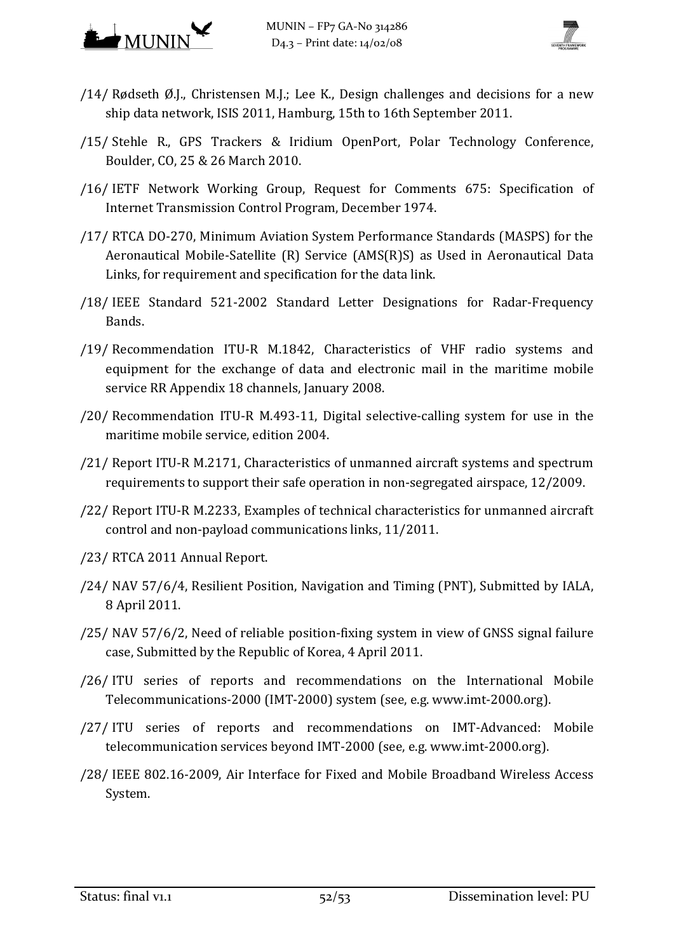



- <span id="page-51-8"></span>/14/ Rødseth Ø.J., Christensen M.J.; Lee K., Design challenges and decisions for a new ship data network, ISIS 2011, Hamburg, 15th to 16th September 2011.
- <span id="page-51-0"></span>/15/ Stehle R., GPS Trackers & Iridium OpenPort, Polar Technology Conference, Boulder, CO, 25 & 26 March 2010.
- <span id="page-51-12"></span>/16/ IETF Network Working Group, Request for Comments 675: Specification of Internet Transmission Control Program, December 1974.
- <span id="page-51-3"></span>/17/ RTCA DO-270, Minimum Aviation System Performance Standards (MASPS) for the Aeronautical Mobile-Satellite (R) Service (AMS(R)S) as Used in Aeronautical Data Links, for requirement and specification for the data link.
- <span id="page-51-2"></span>/18/ IEEE Standard 521-2002 Standard Letter Designations for Radar-Frequency Bands.
- <span id="page-51-7"></span>/19/ Recommendation ITU-R M.1842, Characteristics of VHF radio systems and equipment for the exchange of data and electronic mail in the maritime mobile service RR Appendix 18 channels, January 2008.
- /20/ Recommendation ITU-R M.493-11, Digital selective-calling system for use in the maritime mobile service, edition 2004.
- <span id="page-51-1"></span>/21/ Report ITU-R M.2171, Characteristics of unmanned aircraft systems and spectrum requirements to support their safe operation in non-segregated airspace, 12/2009.
- /22/ Report ITU-R M.2233, Examples of technical characteristics for unmanned aircraft control and non-payload communications links, 11/2011.
- <span id="page-51-9"></span>/23/ RTCA 2011 Annual Report.
- <span id="page-51-10"></span>/24/ NAV 57/6/4, Resilient Position, Navigation and Timing (PNT), Submitted by IALA, 8 April 2011.
- <span id="page-51-11"></span>/25/ NAV 57/6/2, Need of reliable position-fixing system in view of GNSS signal failure case, Submitted by the Republic of Korea, 4 April 2011.
- <span id="page-51-4"></span>/26/ ITU series of reports and recommendations on the International Mobile Telecommunications-2000 (IMT-2000) system (see, e.g. [www.imt-2000.org\)](http://www.imt-2000.org/).
- <span id="page-51-5"></span>/27/ ITU series of reports and recommendations on IMT-Advanced: Mobile telecommunication services beyond IMT-2000 (see, e.g. [www.imt-2000.org\)](http://www.imt-2000.org/).
- <span id="page-51-6"></span>/28/ IEEE 802.16-2009, Air Interface for Fixed and Mobile Broadband Wireless Access System.